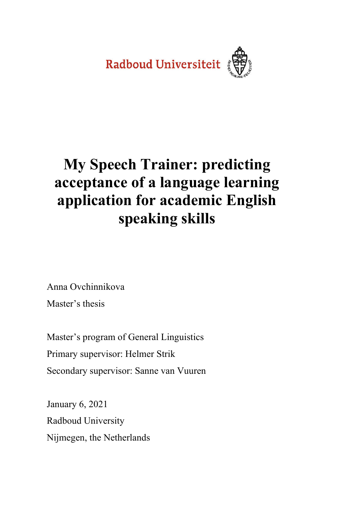Radboud Universiteit

# **My Speech Trainer: predicting acceptance of a language learning application for academic English speaking skills**

Anna Ovchinnikova Master's thesis

Master's program of General Linguistics Primary supervisor: Helmer Strik Secondary supervisor: Sanne van Vuuren

January 6, 2021 Radboud University Nijmegen, the Netherlands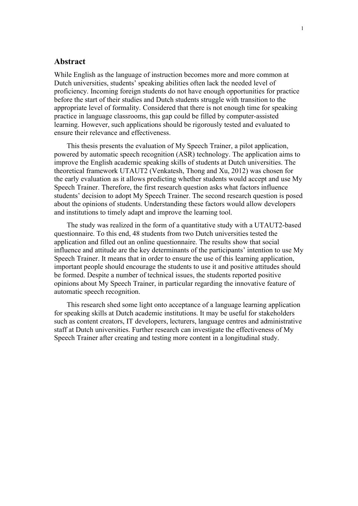# **Abstract**

While English as the language of instruction becomes more and more common at Dutch universities, students' speaking abilities often lack the needed level of proficiency. Incoming foreign students do not have enough opportunities for practice before the start of their studies and Dutch students struggle with transition to the appropriate level of formality. Considered that there is not enough time for speaking practice in language classrooms, this gap could be filled by computer-assisted learning. However, such applications should be rigorously tested and evaluated to ensure their relevance and effectiveness.

This thesis presents the evaluation of My Speech Trainer, a pilot application, powered by automatic speech recognition (ASR) technology. The application aims to improve the English academic speaking skills of students at Dutch universities. The theoretical framework UTAUT2 (Venkatesh, Thong and Xu, 2012) was chosen for the early evaluation as it allows predicting whether students would accept and use My Speech Trainer. Therefore, the first research question asks what factors influence students' decision to adopt My Speech Trainer. The second research question is posed about the opinions of students. Understanding these factors would allow developers and institutions to timely adapt and improve the learning tool.

The study was realized in the form of a quantitative study with a UTAUT2-based questionnaire. To this end, 48 students from two Dutch universities tested the application and filled out an online questionnaire. The results show that social influence and attitude are the key determinants of the participants' intention to use My Speech Trainer. It means that in order to ensure the use of this learning application, important people should encourage the students to use it and positive attitudes should be formed. Despite a number of technical issues, the students reported positive opinions about My Speech Trainer, in particular regarding the innovative feature of automatic speech recognition.

This research shed some light onto acceptance of a language learning application for speaking skills at Dutch academic institutions. It may be useful for stakeholders such as content creators, IT developers, lecturers, language centres and administrative staff at Dutch universities. Further research can investigate the effectiveness of My Speech Trainer after creating and testing more content in a longitudinal study.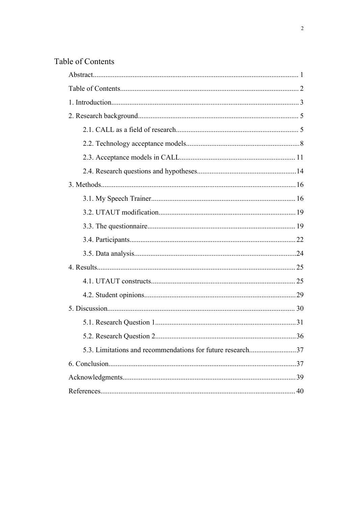# Table of Contents

| 5.3. Limitations and recommendations for future research37 |  |
|------------------------------------------------------------|--|
|                                                            |  |
|                                                            |  |
|                                                            |  |
|                                                            |  |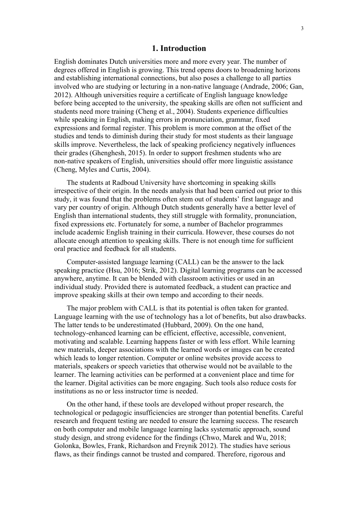### **1. Introduction**

English dominates Dutch universities more and more every year. The number of degrees offered in English is growing. This trend opens doors to broadening horizons and establishing international connections, but also poses a challenge to all parties involved who are studying or lecturing in a non-native language (Andrade, 2006; Gan, 2012). Although universities require a certificate of English language knowledge before being accepted to the university, the speaking skills are often not sufficient and students need more training (Cheng et al., 2004). Students experience difficulties while speaking in English, making errors in pronunciation, grammar, fixed expressions and formal register. This problem is more common at the offset of the studies and tends to diminish during their study for most students as their language skills improve. Nevertheless, the lack of speaking proficiency negatively influences their grades (Ghenghesh, 2015). In order to support freshmen students who are non-native speakers of English, universities should offer more linguistic assistance (Cheng, Myles and Curtis, 2004).

The students at Radboud University have shortcoming in speaking skills irrespective of their origin. In the needs analysis that had been carried out prior to this study, it was found that the problems often stem out of students' first language and vary per country of origin. Although Dutch students generally have a better level of English than international students, they still struggle with formality, pronunciation, fixed expressions etc. Fortunately for some, a number of Bachelor programmes include academic English training in their curricula. However, these courses do not allocate enough attention to speaking skills. There is not enough time for sufficient oral practice and feedback for all students.

Computer-assisted language learning (CALL) can be the answer to the lack speaking practice (Hsu, 2016; Strik, 2012). Digital learning programs can be accessed anywhere, anytime. It can be blended with classroom activities or used in an individual study. Provided there is automated feedback, a student can practice and improve speaking skills at their own tempo and according to their needs.

The major problem with CALL is that its potential is often taken for granted. Language learning with the use of technology has a lot of benefits, but also drawbacks. The latter tends to be underestimated (Hubbard, 2009). On the one hand, technology-enhanced learning can be efficient, effective, accessible, convenient, motivating and scalable. Learning happens faster or with less effort. While learning new materials, deeper associations with the learned words or images can be created which leads to longer retention. Computer or online websites provide access to materials, speakers or speech varieties that otherwise would not be available to the learner. The learning activities can be performed at a convenient place and time for the learner. Digital activities can be more engaging. Such tools also reduce costs for institutions as no or less instructor time is needed.

On the other hand, if these tools are developed without proper research, the technological or pedagogic insufficiencies are stronger than potential benefits. Careful research and frequent testing are needed to ensure the learning success. The research on both computer and mobile language learning lacks systematic approach, sound study design, and strong evidence for the findings (Chwo, Marek and Wu, 2018; Golonka, Bowles, Frank, Richardson and Freynik 2012). The studies have serious flaws, as their findings cannot be trusted and compared. Therefore, rigorous and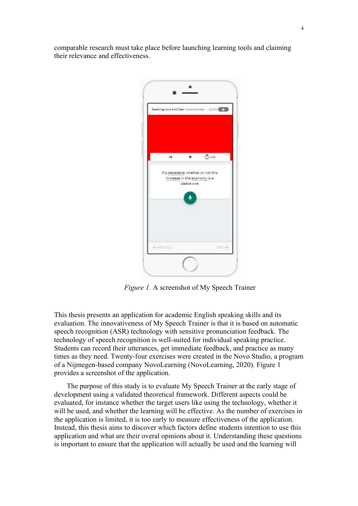comparable research must take place before launching learning tools and claiming their relevance and effectiveness.



*Figure 1.* A screenshot of My Speech Trainer

This thesis presents an application for academic English speaking skills and its evaluation. The innovativeness of My Speech Trainer is that it is based on automatic speech recognition (ASR) technology with sensitive pronunciation feedback. The technology of speech recognition is well-suited for individual speaking practice. Students can record their utterances, get immediate feedback, and practice as many times as they need. Twenty-four exercises were created in the Novo Studio, a program of a Nijmegen-based company NovoLearning (NovoLearning, 2020). Figure 1 provides a screenshot of the application.

The purpose of this study is to evaluate My Speech Trainer at the early stage of development using a validated theoretical framework. Different aspects could be evaluated, for instance whether the target users like using the technology, whether it will be used, and whether the learning will be effective. As the number of exercises in the application is limited, it is too early to measure effectiveness of the application. Instead, this thesis aims to discover which factors define students intention to use this application and what are their overal opinions about it. Understanding these questions is important to ensure that the application will actually be used and the learning will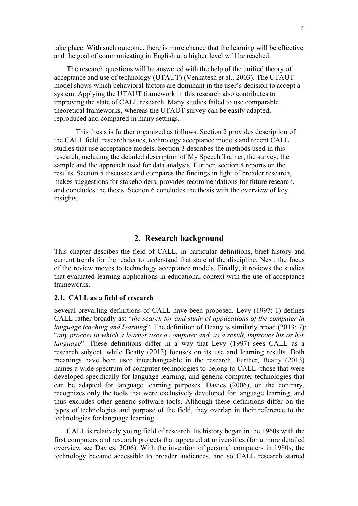take place. With such outcome, there is more chance that the learning will be effective and the goal of communicating in English at a higher level will be reached.

The research questions will be answered with the help of the unified theory of acceptance and use of technology (UTAUT) (Venkatesh et al., 2003). The UTAUT model shows which behavioral factors are dominant in the user's decision to accept a system. Applying the UTAUT framework in this research also contributes to improving the state of CALL research. Many studies failed to use comparable theoretical frameworks, whereas the UTAUT survey can be easily adapted, reproduced and compared in many settings.

This thesis is further organized as follows. Section 2 provides description of the CALL field, research issues, technology acceptance models and recent CALL studies that use acceptance models. Section 3 describes the methods used in this research, including the detailed description of My Speech Trainer, the survey, the sample and the approach used for data analysis. Further, section 4 reports on the results. Section 5 discusses and compares the findings in light of broader research, makes suggestions for stakeholders, provides recommendations for future research, and concludes the thesis. Section 6 concludes the thesis with the overview of key insights.

# **2. Research background**

This chapter descibes the field of CALL, in particular definitions, brief history and current trends for the reader to understand that state of the discipline. Next, the focus of the review moves to technology acceptance models. Finally, it reviews the studies that evaluated learning applications in educational context with the use of acceptance frameworks.

# **2.1. CALL as a field of research**

Several prevailing definitions of CALL have been proposed. Levy (1997: 1) defines CALL rather broadly as: "*the search for and study of applications of the computer in language teaching and learning*". The definition of Beatty is similarly broad (2013: 7): "*any process in which a learner uses a computer and, as a result, improves his or her language*". These definitions differ in a way that Levy (1997) sees CALL as a research subject, while Beatty (2013) focuses on its use and learning results. Both meanings have been used interchangeable in the research. Further, Beatty (2013) names a wide spectrum of computer technologies to belong to CALL: those that were developed specifically for language learning, and generic computer technologies that can be adapted for language learning purposes. Davies (2006), on the contrary, recognizes only the tools that were exclusively developed for language learning, and thus excludes other generic software tools. Although these definitions differ on the types of technologies and purpose of the field, they overlap in their reference to the technologies for language learning.

CALL is relatively young field of research. Its history began in the 1960s with the first computers and research projects that appeared at universities (for a more detailed overview see Davies, 2006). With the invention of personal computers in 1980s, the technology became accessible to broader audiences, and so CALL research started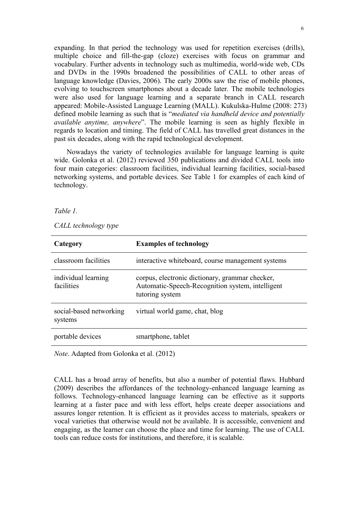expanding. In that period the technology was used for repetition exercises (drills), multiple choice and fill-the-gap (cloze) exercises with focus on grammar and vocabulary. Further advents in technology such as multimedia, world-wide web, CDs and DVDs in the 1990s broadened the possibilities of CALL to other areas of language knowledge (Davies, 2006). The early 2000s saw the rise of mobile phones, evolving to touchscreen smartphones about a decade later. The mobile technologies were also used for language learning and a separate branch in CALL research appeared: Mobile-Assisted Language Learning (MALL). Kukulska-Hulme (2008: 273) defined mobile learning as such that is "*mediated via handheld device and potentially available anytime, anywhere*". The mobile learning is seen as highly flexible in regards to location and timing. The field of CALL has travelled great distances in the past six decades, along with the rapid technological development.

Nowadays the variety of technologies available for language learning is quite wide. Golonka et al. (2012) reviewed 350 publications and divided CALL tools into four main categories: classroom facilities, individual learning facilities, social-based networking systems, and portable devices. See Table 1 for examples of each kind of technology.

*Table 1.*

*CALL technology type*

| Category                           | <b>Examples of technology</b>                                                                                          |
|------------------------------------|------------------------------------------------------------------------------------------------------------------------|
| classroom facilities               | interactive whiteboard, course management systems                                                                      |
| individual learning<br>facilities  | corpus, electronic dictionary, grammar checker,<br>Automatic-Speech-Recognition system, intelligent<br>tutoring system |
| social-based networking<br>systems | virtual world game, chat, blog                                                                                         |
| portable devices                   | smartphone, tablet                                                                                                     |

*Note*. Adapted from Golonka et al. (2012)

CALL has a broad array of benefits, but also a number of potential flaws. Hubbard (2009) describes the affordances of the technology-enhanced language learning as follows. Technology-enhanced language learning can be effective as it supports learning at a faster pace and with less effort, helps create deeper associations and assures longer retention. It is efficient as it provides access to materials, speakers or vocal varieties that otherwise would not be available. It is accessible, convenient and engaging, as the learner can choose the place and time for learning. The use of CALL tools can reduce costs for institutions, and therefore, it is scalable.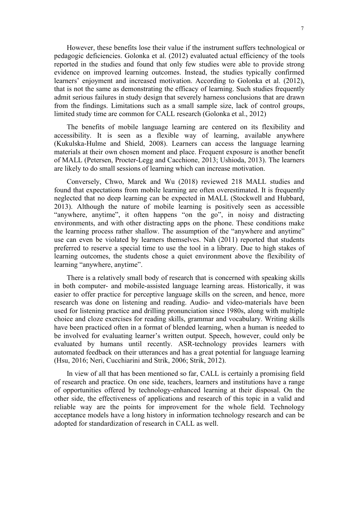However, these benefits lose their value if the instrument suffers technological or pedagogic deficiencies. Golonka et al. (2012) evaluated actual efficiency of the tools reported in the studies and found that only few studies were able to provide strong evidence on improved learning outcomes. Instead, the studies typically confirmed learners' enjoyment and increased motivation. According to Golonka et al. (2012), that is not the same as demonstrating the efficacy of learning. Such studies frequently admit serious failures in study design that severely harness conclusions that are drawn from the findings. Limitations such as a small sample size, lack of control groups, limited study time are common for CALL research (Golonka et al., 2012)

The benefits of mobile language learning are centered on its flexibility and accessibility. It is seen as a flexible way of learning, available anywhere (Kukulska-Hulme and Shield, 2008). Learners can access the language learning materials at their own chosen moment and place. Frequent exposure is another benefit of MALL (Petersen, Procter-Legg and Cacchione, 2013; Ushioda, 2013). The learners are likely to do small sessions of learning which can increase motivation.

Conversely, Chwo, Marek and Wu (2018) reviewed 218 MALL studies and found that expectations from mobile learning are often overestimated. It is frequently neglected that no deep learning can be expected in MALL (Stockwell and Hubbard, 2013). Although the nature of mobile learning is positively seen as accessible "anywhere, anytime", it often happens "on the go", in noisy and distracting environments, and with other distracting apps on the phone. These conditions make the learning process rather shallow. The assumption of the "anywhere and anytime" use can even be violated by learners themselves. Nah (2011) reported that students preferred to reserve a special time to use the tool in a library. Due to high stakes of learning outcomes, the students chose a quiet environment above the flexibility of learning "anywhere, anytime".

There is a relatively small body of research that is concerned with speaking skills in both computer- and mobile-assisted language learning areas. Historically, it was easier to offer practice for perceptive language skills on the screen, and hence, more research was done on listening and reading. Audio- and video-materials have been used for listening practice and drilling pronunciation since 1980s, along with multiple choice and cloze exercises for reading skills, grammar and vocabulary. Writing skills have been practiced often in a format of blended learning, when a human is needed to be involved for evaluating learner's written output. Speech, however, could only be evaluated by humans until recently. ASR-technology provides learners with automated feedback on their utterances and has a great potential for language learning (Hsu, 2016; Neri, Cucchiarini and Strik, 2006; Strik, 2012).

In view of all that has been mentioned so far, CALL is certainly a promising field of research and practice. On one side, teachers, learners and institutions have a range of opportunities offered by technology-enhanced learning at their disposal. On the other side, the effectiveness of applications and research of this topic in a valid and reliable way are the points for improvement for the whole field. Technology acceptance models have a long history in information technology research and can be adopted for standardization of research in CALL as well.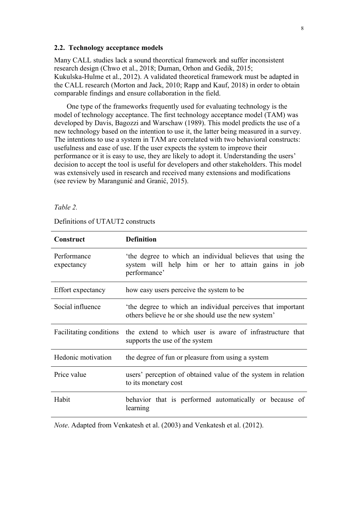### **2.2. Technology acceptance models**

Many CALL studies lack a sound theoretical framework and suffer inconsistent research design (Chwo et al., 2018; Duman, Orhon and Gedik, 2015; Kukulska-Hulme et al., 2012). A validated theoretical framework must be adapted in the CALL research (Morton and Jack, 2010; Rapp and Kauf, 2018) in order to obtain comparable findings and ensure collaboration in the field.

One type of the frameworks frequently used for evaluating technology is the model of technology acceptance. The first technology acceptance model (TAM) was developed by Davis, Bagozzi and Warschaw (1989). This model predicts the use of a new technology based on the intention to use it, the latter being measured in a survey. The intentions to use a system in TAM are correlated with two behavioral constructs: usefulness and ease of use. If the user expects the system to improve their performance or it is easy to use, they are likely to adopt it. Understanding the users' decision to accept the tool is useful for developers and other stakeholders. This model was extensively used in research and received many extensions and modifications (see review by Marangunić and Granić, 2015).

### *Table 2.*

| Construct                      | <b>Definition</b>                                                                                                               |  |  |
|--------------------------------|---------------------------------------------------------------------------------------------------------------------------------|--|--|
| Performance<br>expectancy      | the degree to which an individual believes that using the<br>system will help him or her to attain gains in job<br>performance' |  |  |
| Effort expectancy              | how easy users perceive the system to be                                                                                        |  |  |
| Social influence               | the degree to which an individual perceives that important<br>others believe he or she should use the new system'               |  |  |
| <b>Facilitating conditions</b> | the extend to which user is aware of infrastructure that<br>supports the use of the system                                      |  |  |
| Hedonic motivation             | the degree of fun or pleasure from using a system                                                                               |  |  |
| Price value                    | users' perception of obtained value of the system in relation<br>to its monetary cost                                           |  |  |
| Habit                          | behavior that is performed automatically or because of<br>learning                                                              |  |  |

Definitions of UTAUT2 constructs

*Note*. Adapted from Venkatesh et al. (2003) and Venkatesh et al. (2012).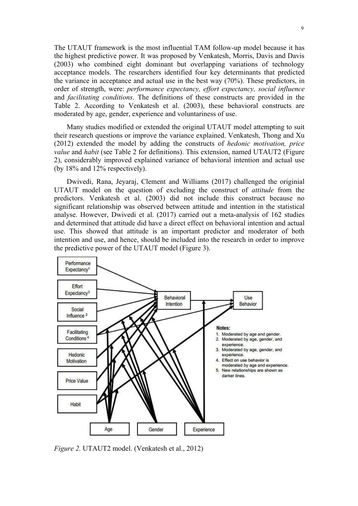The UTAUT framework is the most influential TAM follow-up model because it has the highest predictive power. It was proposed by Venkatesh, Morris, Davis and Davis (2003) who combined eight dominant but overlapping variations of technology acceptance models. The researchers identified four key determinants that predicted the variance in acceptance and actual use in the best way (70%). These predictors, in order of strength, were: *performance expectancy, effort expectancy, social influence* and *facilitating conditions*. The definitions of these constructs are provided in the Table 2. According to Venkatesh et al. (2003), these behavioral constructs are moderated by age, gender, experience and voluntariness of use.

Many studies modified or extended the original UTAUT model attempting to suit their research questions or improve the variance explained. Venkatesh, Thong and Xu (2012) extended the model by adding the constructs of *hedonic motivation, price value* and *habit* (see Table 2 for definitions). This extension, named UTAUT2 (Figure 2), considerably improved explained variance of behavioral intention and actual use (by 18% and 12% respectively).

Dwivedi, Rana, Jeyaraj, Clement and Williams (2017) challenged the originial UTAUT model on the question of excluding the construct of *attitude* from the predictors. Venkatesh et al. (2003) did not include this construct because no significant relationship was observed between attitude and intention in the statistical analyse. However, Dwivedi et al. (2017) carried out a meta-analysis of 162 studies and determined that attitude did have a direct effect on behavioral intention and actual use. This showed that attitude is an important predictor and moderator of both intention and use, and hence, should be included into the research in order to improve the predictive power of the UTAUT model (Figure 3).



*Figure 2.* UTAUT2 model. (Venkatesh et al., 2012)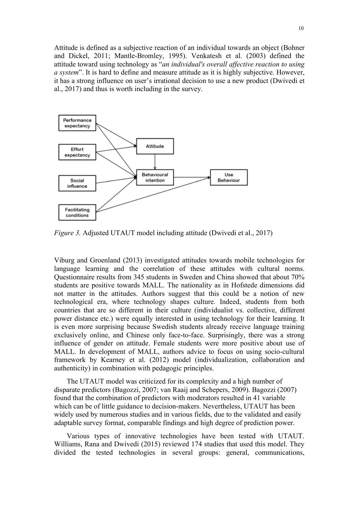Attitude is defined as a subjective reaction of an individual towards an object (Bohner and Dickel, 2011; Mantle-Bromley, 1995). Venkatesh et al. (2003) defined the attitude toward using technology as "*an individual's overall affective reaction to using a system*". It is hard to define and measure attitude as it is highly subjective. However, it has a strong influence on user's irrational decision to use a new product (Dwivedi et al., 2017) and thus is worth including in the survey.



*Figure 3.* Adjusted UTAUT model including attitude (Dwivedi et al., 2017)

Viburg and Groenland (2013) investigated attitudes towards mobile technologies for language learning and the correlation of these attitudes with cultural norms. Questionnaire results from 345 students in Sweden and China showed that about 70% students are positive towards MALL. The nationality as in Hofstede dimensions did not matter in the attitudes. Authors suggest that this could be a notion of new technological era, where technology shapes culture. Indeed, students from both countries that are so different in their culture (individualist vs. collective, different power distance etc.) were equally interested in using technology for their learning. It is even more surprising because Swedish students already receive language training exclusively online, and Chinese only face-to-face. Surprisingly, there was a strong influence of gender on attitude. Female students were more positive about use of MALL. In development of MALL, authors advice to focus on using socio-cultural framework by Kearney et al. (2012) model (individualization, collaboration and authenticity) in combination with pedagogic principles.

The UTAUT model was criticized for its complexity and a high number of disparate predictors (Bagozzi, 2007; van Raaij and Schepers, 2009). Bagozzi (2007) found that the combination of predictors with moderators resulted in 41 variable which can be of little guidance to decision-makers. Nevertheless, UTAUT has been widely used by numerous studies and in various fields, due to the validated and easily adaptable survey format, comparable findings and high degree of prediction power.

Various types of innovative technologies have been tested with UTAUT. Williams, Rana and Dwivedi (2015) reviewed 174 studies that used this model. They divided the tested technologies in several groups: general, communications,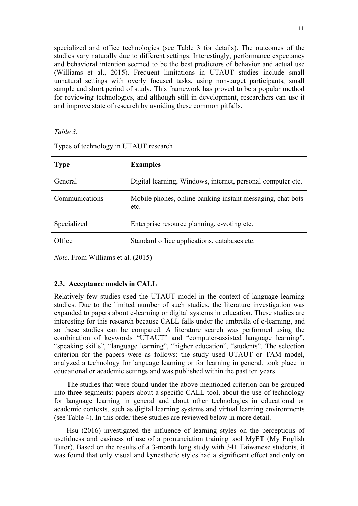specialized and office technologies (see Table 3 for details). The outcomes of the studies vary naturally due to different settings. Interestingly, performance expectancy and behavioral intention seemed to be the best predictors of behavior and actual use (Williams et al., 2015). Frequent limitations in UTAUT studies include small unnatural settings with overly focused tasks, using non-target participants, small sample and short period of study. This framework has proved to be a popular method for reviewing technologies, and although still in development, researchers can use it and improve state of research by avoiding these common pitfalls.

*Table 3.*

| <b>Type</b>    | <b>Examples</b>                                                    |
|----------------|--------------------------------------------------------------------|
| General        | Digital learning, Windows, internet, personal computer etc.        |
| Communications | Mobile phones, online banking instant messaging, chat bots<br>etc. |
| Specialized    | Enterprise resource planning, e-voting etc.                        |
| Office         | Standard office applications, databases etc.                       |
|                |                                                                    |

Types of technology in UTAUT research

*Note*. From Williams et al. (2015)

### **2.3. Acceptance models in CALL**

Relatively few studies used the UTAUT model in the context of language learning studies. Due to the limited number of such studies, the literature investigation was expanded to papers about e-learning or digital systems in education. These studies are interesting for this research because CALL falls under the umbrella of e-learning, and so these studies can be compared. A literature search was performed using the combination of keywords "UTAUT" and "computer-assisted language learning", "speaking skills", "language learning", "higher education", "students". The selection criterion for the papers were as follows: the study used UTAUT or TAM model, analyzed a technology for language learning or for learning in general, took place in educational or academic settings and was published within the past ten years.

The studies that were found under the above-mentioned criterion can be grouped into three segments: papers about a specific CALL tool, about the use of technology for language learning in general and about other technologies in educational or academic contexts, such as digital learning systems and virtual learning environments (see Table 4). In this order these studies are reviewed below in more detail.

Hsu (2016) investigated the influence of learning styles on the perceptions of usefulness and easiness of use of a pronunciation training tool MyET (My English Tutor). Based on the results of a 3-month long study with 341 Taiwanese students, it was found that only visual and kynesthetic styles had a significant effect and only on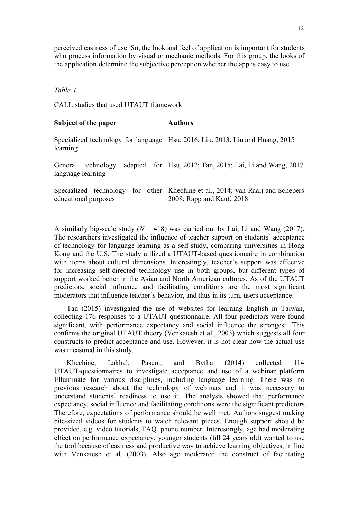perceived easiness of use. So, the look and feel of application is important for students who process information by visual or mechanic methods. For this group, the looks of the application determine the subjective perception whether the app is easy to use.

### *Table 4.*

CALL studies that used UTAUT framework

| Subject of the paper                    | Authors                                                                                                     |
|-----------------------------------------|-------------------------------------------------------------------------------------------------------------|
| learning                                | Specialized technology for language Hsu, 2016; Liu, 2013, Liu and Huang, 2015                               |
| General technology<br>language learning | adapted for Hsu, 2012; Tan, 2015; Lai, Li and Wang, 2017                                                    |
| educational purposes                    | Specialized technology for other Khechine et al., 2014; van Raaij and Schepers<br>2008; Rapp and Kauf, 2018 |

A similarly big-scale study  $(N = 418)$  was carried out by Lai, Li and Wang (2017). The researchers investigated the influence of teacher support on students' acceptance of technology for language learning as a self-study, comparing universities in Hong Kong and the U.S. The study utilized a UTAUT-based questionnaire in combination with items about cultural dimensions. Interestingly, teacher's support was effective for increasing self-directed technology use in both groups, but different types of support worked better in the Asian and North American cultures. As of the UTAUT predictors, social influence and facilitating conditions are the most significant moderators that influence teacher's behavior, and thus in its turn, users acceptance.

Tan (2015) investigated the use of websites for learning English in Taiwan, collecting 176 responses to a UTAUT-questionnaire. All four predictors were found significant, with performance expectancy and social influence the strongest. This confirms the original UTAUT theory (Venkatesh et al., 2003) which suggests all four constructs to predict acceptance and use. However, it is not clear how the actual use was measured in this study.

Khechine, Lakhal, Pascot, and Bytha (2014) collected 114 UTAUT-questionnaires to investigate acceptance and use of a webinar platform Elluminate for various disciplines, including language learning. There was no previous research about the technology of webinars and it was necessary to understand students' readiness to use it. The analysis showed that performance expectancy, social influence and facilitating conditions were the significant predictors. Therefore, expectations of performance should be well met. Authors suggest making bite-sized videos for students to watch relevant pieces. Enough support should be provided, e.g. video tutorials, FAQ, phone number. Interestingly, age had moderating effect on performance expectancy: younger students (till 24 years old) wanted to use the tool because of easiness and productive way to achieve learning objectives, in line with Venkatesh et al. (2003). Also age moderated the construct of facilitating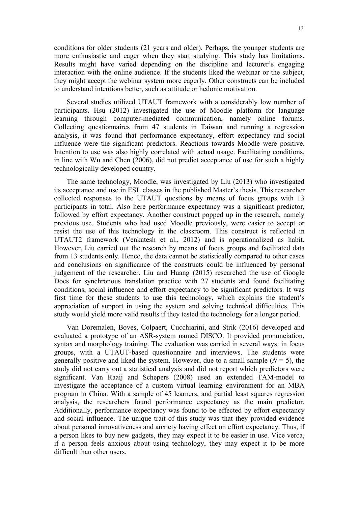conditions for older students (21 years and older). Perhaps, the younger students are more enthusiastic and eager when they start studying. This study has limitations. Results might have varied depending on the discipline and lecturer's engaging interaction with the online audience. If the students liked the webinar or the subject, they might accept the webinar system more eagerly. Other constructs can be included to understand intentions better, such as attitude or hedonic motivation.

Several studies utilized UTAUT framework with a considerably low number of participants. Hsu (2012) investigated the use of Moodle platform for language learning through computer-mediated communication, namely online forums. Collecting questionnaires from 47 students in Taiwan and running a regression analysis, it was found that performance expectancy, effort expectancy and social influence were the significant predictors. Reactions towards Moodle were positive. Intention to use was also highly correlated with actual usage. Facilitating conditions, in line with Wu and Chen (2006), did not predict acceptance of use for such a highly technologically developed country.

The same technology, Moodle, was investigated by Liu (2013) who investigated its acceptance and use in ESL classes in the published Master's thesis. This researcher collected responses to the UTAUT questions by means of focus groups with 13 participants in total. Also here performance expectancy was a significant predictor, followed by effort expectancy. Another construct popped up in the research, namely previous use. Students who had used Moodle previously, were easier to accept or resist the use of this technology in the classroom. This construct is reflected in UTAUT2 framework (Venkatesh et al., 2012) and is operationalized as habit. However, Liu carried out the research by means of focus groups and facilitated data from 13 students only. Hence, the data cannot be statistically compared to other cases and conclusions on significance of the constructs could be influenced by personal judgement of the researcher. Liu and Huang (2015) researched the use of Google Docs for synchronous translation practice with 27 students and found facilitating conditions, social influence and effort expectancy to be significant predictors. It was first time for these students to use this technology, which explains the student's appreciation of support in using the system and solving technical difficulties. This study would yield more valid results if they tested the technology for a longer period.

Van Doremalen, Boves, Colpaert, Cucchiarini, and Strik (2016) developed and evaluated a prototype of an ASR-system named DISCO. It provided pronunciation, syntax and morphology training. The evaluation was carried in several ways: in focus groups, with a UTAUT-based questionnaire and interviews. The students were generally positive and liked the system. However, due to a small sample  $(N = 5)$ , the study did not carry out a statistical analysis and did not report which predictors were significant. Van Raaij and Schepers (2008) used an extended TAM-model to investigate the acceptance of a custom virtual learning environment for an MBA program in China. With a sample of 45 learners, and partial least squares regression analysis, the researchers found performance expectancy as the main predictor. Additionally, performance expectancy was found to be effected by effort expectancy and social influence. The unique trait of this study was that they provided evidence about personal innovativeness and anxiety having effect on effort expectancy. Thus, if a person likes to buy new gadgets, they may expect it to be easier in use. Vice verca, if a person feels anxious about using technology, they may expect it to be more difficult than other users.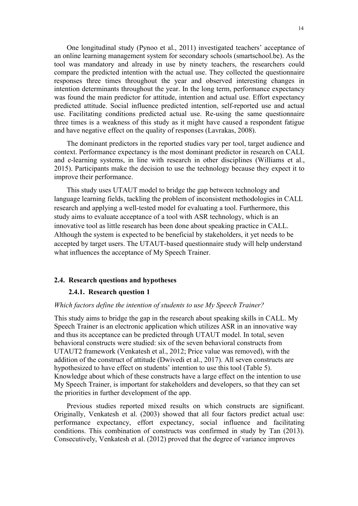One longitudinal study (Pynoo et al., 2011) investigated teachers' acceptance of an online learning management system for secondary schools (smartschool.be). As the tool was mandatory and already in use by ninety teachers, the researchers could compare the predicted intention with the actual use. They collected the questionnaire responses three times throughout the year and observed interesting changes in intention determinants throughout the year. In the long term, performance expectancy was found the main predictor for attitude, intention and actual use. Effort expectancy predicted attitude. Social influence predicted intention, self-reported use and actual use. Facilitating conditions predicted actual use. Re-using the same questionnaire three times is a weakness of this study as it might have caused a respondent fatigue and have negative effect on the quality of responses (Lavrakas, 2008).

The dominant predictors in the reported studies vary per tool, target audience and context. Performance expectancy is the most dominant predictor in research on CALL and e-learning systems, in line with research in other disciplines (Williams et al., 2015). Participants make the decision to use the technology because they expect it to improve their performance.

This study uses UTAUT model to bridge the gap between technology and language learning fields, tackling the problem of inconsistent methodologies in CALL research and applying a well-tested model for evaluating a tool. Furthermore, this study aims to evaluate acceptance of a tool with ASR technology, which is an innovative tool as little research has been done about speaking practice in CALL. Although the system is expected to be beneficial by stakeholders, it yet needs to be accepted by target users. The UTAUT-based questionnaire study will help understand what influences the acceptance of My Speech Trainer.

### **2.4. Research questions and hypotheses**

### **2.4.1. Research question 1**

### *Which factors define the intention of students to use My Speech Trainer?*

This study aims to bridge the gap in the research about speaking skills in CALL. My Speech Trainer is an electronic application which utilizes ASR in an innovative way and thus its acceptance can be predicted through UTAUT model. In total, seven behavioral constructs were studied: six of the seven behavioral constructs from UTAUT2 framework (Venkatesh et al., 2012; Price value was removed), with the addition of the construct of attitude (Dwivedi et al., 2017). All seven constructs are hypothesized to have effect on students' intention to use this tool (Table 5). Knowledge about which of these constructs have a large effect on the intention to use My Speech Trainer, is important for stakeholders and developers, so that they can set the priorities in further development of the app.

Previous studies reported mixed results on which constructs are significant. Originally, Venkatesh et al. (2003) showed that all four factors predict actual use: performance expectancy, effort expectancy, social influence and facilitating conditions. This combination of constructs was confirmed in study by Tan (2013). Consecutively, Venkatesh et al. (2012) proved that the degree of variance improves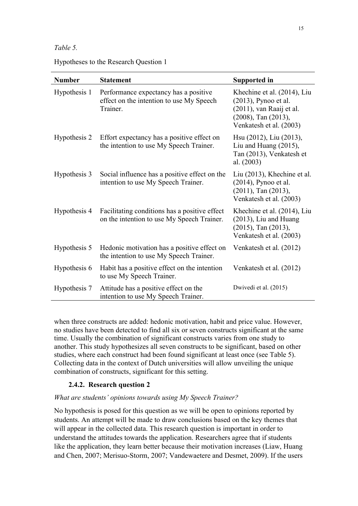## *Table 5.*

Hypotheses to the Research Question 1

| <b>Number</b> | <b>Statement</b>                                                                              | <b>Supported in</b>                                                                                                                        |
|---------------|-----------------------------------------------------------------------------------------------|--------------------------------------------------------------------------------------------------------------------------------------------|
| Hypothesis 1  | Performance expectancy has a positive<br>effect on the intention to use My Speech<br>Trainer. | Khechine et al. (2014), Liu<br>(2013), Pynoo et al.<br>$(2011)$ , van Raaij et al.<br>$(2008)$ , Tan $(2013)$ ,<br>Venkatesh et al. (2003) |
| Hypothesis 2  | Effort expectancy has a positive effect on<br>the intention to use My Speech Trainer.         | Hsu (2012), Liu (2013),<br>Liu and Huang $(2015)$ ,<br>Tan (2013), Venkatesh et<br>al. $(2003)$                                            |
| Hypothesis 3  | Social influence has a positive effect on the<br>intention to use My Speech Trainer.          | Liu (2013), Khechine et al.<br>$(2014)$ , Pynoo et al.<br>$(2011)$ , Tan $(2013)$ ,<br>Venkatesh et al. (2003)                             |
| Hypothesis 4  | Facilitating conditions has a positive effect<br>on the intention to use My Speech Trainer.   | Khechine et al. (2014), Liu<br>$(2013)$ , Liu and Huang<br>$(2015)$ , Tan $(2013)$ ,<br>Venkatesh et al. (2003)                            |
| Hypothesis 5  | Hedonic motivation has a positive effect on<br>the intention to use My Speech Trainer.        | Venkatesh et al. (2012)                                                                                                                    |
| Hypothesis 6  | Habit has a positive effect on the intention<br>to use My Speech Trainer.                     | Venkatesh et al. (2012)                                                                                                                    |
| Hypothesis 7  | Attitude has a positive effect on the<br>intention to use My Speech Trainer.                  | Dwivedi et al. (2015)                                                                                                                      |

when three constructs are added: hedonic motivation, habit and price value. However, no studies have been detected to find all six or seven constructs significant at the same time. Usually the combination of significant constructs varies from one study to another. This study hypothesizes all seven constructs to be significant, based on other studies, where each construct had been found significant at least once (see Table 5). Collecting data in the context of Dutch universities will allow unveiling the unique combination of constructs, significant for this setting.

# **2.4.2. Research question 2**

### *What are students' opinions towards using My Speech Trainer?*

No hypothesis is posed for this question as we will be open to opinions reported by students. An attempt will be made to draw conclusions based on the key themes that will appear in the collected data. This research question is important in order to understand the attitudes towards the application. Researchers agree that if students like the application, they learn better because their motivation increases (Liaw, Huang and Chen, 2007; Merisuo-Storm, 2007; Vandewaetere and Desmet, 2009). If the users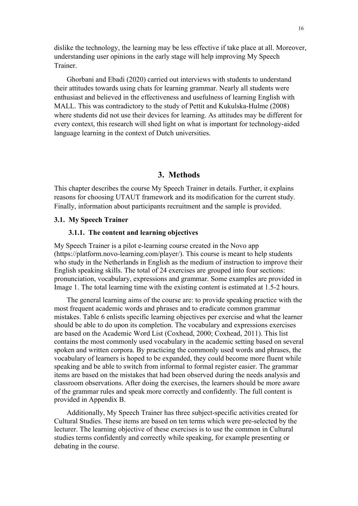dislike the technology, the learning may be less effective if take place at all. Moreover, understanding user opinions in the early stage will help improving My Speech **Trainer** 

Ghorbani and Ebadi (2020) carried out interviews with students to understand their attitudes towards using chats for learning grammar. Nearly all students were enthusiast and believed in the effectiveness and usefulness of learning English with MALL. This was contradictory to the study of Pettit and Kukulska-Hulme (2008) where students did not use their devices for learning. As attitudes may be different for every context, this research will shed light on what is important for technology-aided language learning in the context of Dutch universities.

# **3. Methods**

This chapter describes the course My Speech Trainer in details. Further, it explains reasons for choosing UTAUT framework and its modification for the current study. Finally, information about participants recruitment and the sample is provided.

### **3.1. My Speech Trainer**

### **3.1.1. The content and learning objectives**

My Speech Trainer is a pilot e-learning course created in the Novo app (https://platform.novo-learning.com/player/). This course is meant to help students who study in the Netherlands in English as the medium of instruction to improve their English speaking skills. The total of 24 exercises are grouped into four sections: pronunciation, vocabulary, expressions and grammar. Some examples are provided in Image 1. The total learning time with the existing content is estimated at 1.5-2 hours.

The general learning aims of the course are: to provide speaking practice with the most frequent academic words and phrases and to eradicate common grammar mistakes. Table 6 enlists specific learning objectives per exercise and what the learner should be able to do upon its completion. The vocabulary and expressions exercises are based on the Academic Word List (Coxhead, 2000; Coxhead, 2011). This list contains the most commonly used vocabulary in the academic setting based on several spoken and written corpora. By practicing the commonly used words and phrases, the vocabulary of learners is hoped to be expanded, they could become more fluent while speaking and be able to switch from informal to formal register easier. The grammar items are based on the mistakes that had been observed during the needs analysis and classroom observations. After doing the exercises, the learners should be more aware of the grammar rules and speak more correctly and confidently. The full content is provided in Appendix B.

Additionally, My Speech Trainer has three subject-specific activities created for Cultural Studies. These items are based on ten terms which were pre-selected by the lecturer. The learning objective of these exercises is to use the common in Cultural studies terms confidently and correctly while speaking, for example presenting or debating in the course.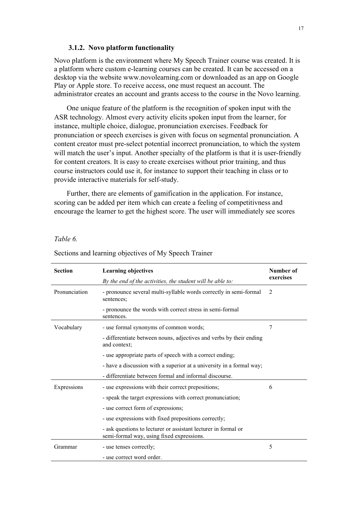### **3.1.2. Novo platform functionality**

Novo platform is the environment where My Speech Trainer course was created. It is a platform where custom e-learning courses can be created. It can be accessed on a desktop via the website www.novolearning.com or downloaded as an app on Google Play or Apple store. To receive access, one must request an account. The administrator creates an account and grants access to the course in the Novo learning.

One unique feature of the platform is the recognition of spoken input with the ASR technology. Almost every activity elicits spoken input from the learner, for instance, multiple choice, dialogue, pronunciation exercises. Feedback for pronunciation or speech exercises is given with focus on segmental pronunciation. A content creator must pre-select potential incorrect pronunciation, to which the system will match the user's input. Another specialty of the platform is that it is user-friendly for content creators. It is easy to create exercises without prior training, and thus course instructors could use it, for instance to support their teaching in class or to provide interactive materials for self-study.

Further, there are elements of gamification in the application. For instance, scoring can be added per item which can create a feeling of competitivness and encourage the learner to get the highest score. The user will immediately see scores

### *Table 6.*

| <b>Section</b> | <b>Learning objectives</b><br>Number of                                                                     |           |
|----------------|-------------------------------------------------------------------------------------------------------------|-----------|
|                | By the end of the activities, the student will be able to:                                                  | exercises |
| Pronunciation  | - pronounce several multi-syllable words correctly in semi-formal<br>sentences;                             | 2         |
|                | - pronounce the words with correct stress in semi-formal<br>sentences.                                      |           |
| Vocabulary     | - use formal synonyms of common words;                                                                      | 7         |
|                | - differentiate between nouns, adjectives and verbs by their ending<br>and context;                         |           |
|                | - use appropriate parts of speech with a correct ending;                                                    |           |
|                | - have a discussion with a superior at a university in a formal way;                                        |           |
|                | - differentiate between formal and informal discourse.                                                      |           |
| Expressions    | - use expressions with their correct prepositions;                                                          | 6         |
|                | - speak the target expressions with correct pronunciation;                                                  |           |
|                | - use correct form of expressions;                                                                          |           |
|                | - use expressions with fixed prepositions correctly;                                                        |           |
|                | - ask questions to lecturer or assistant lecturer in formal or<br>semi-formal way, using fixed expressions. |           |
| Grammar        | - use tenses correctly;                                                                                     | 5         |
|                | - use correct word order.                                                                                   |           |

### Sections and learning objectives of My Speech Trainer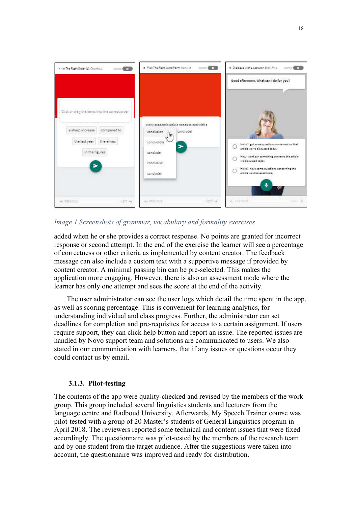

*Image 1 Screenshots of grammar, vocabulary and formality exercises*

added when he or she provides a correct response. No points are granted for incorrect response or second attempt. In the end of the exercise the learner will see a percentage of correctness or other criteria as implemented by content creator. The feedback message can also include a custom text with a supportive message if provided by content creator. A minimal passing bin can be pre-selected. This makes the application more engaging. However, there is also an assessment mode where the learner has only one attempt and sees the score at the end of the activity.

The user administrator can see the user logs which detail the time spent in the app, as well as scoring percentage. This is convenient for learning analytics, for understanding individual and class progress. Further, the administrator can set deadlines for completion and pre-requisites for access to a certain assignment. If users require support, they can click help button and report an issue. The reported issues are handled by Novo support team and solutions are communicated to users. We also stated in our communication with learners, that if any issues or questions occur they could contact us by email.

# **3.1.3. Pilot-testing**

The contents of the app were quality-checked and revised by the members of the work group. This group included several linguistics students and lecturers from the language centre and Radboud University. Afterwards, My Speech Trainer course was pilot-tested with a group of 20 Master's students of General Linguistics program in April 2018. The reviewers reported some technical and content issues that were fixed accordingly. The questionnaire was pilot-tested by the members of the research team and by one student from the target audience. After the suggestions were taken into account, the questionnaire was improved and ready for distribution.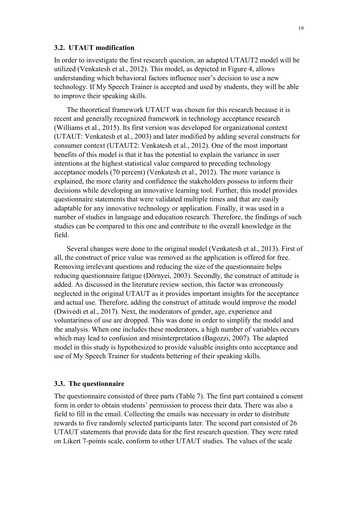### **3.2. UTAUT modification**

In order to investigate the first research question, an adapted UTAUT2 model will be utilized (Venkatesh et al., 2012). This model, as depicted in Figure 4, allows understanding which behavioral factors influence user's decision to use a new technology. If My Speech Trainer is accepted and used by students, they will be able to improve their speaking skills.

The theoretical framework UTAUT was chosen for this research because it is recent and generally recognized framework in technology acceptance research (Williams et al., 2015). Its first version was developed for organizational context (UTAUT: Venkatesh et al., 2003) and later modified by adding several constructs for consumer context (UTAUT2: Venkatesh et al., 2012). One of the most important benefits of this model is that it has the potential to explain the variance in user intentions at the highest statistical value compared to preceding technology acceptance models (70 percent) (Venkatesh et al., 2012). The more variance is explained, the more clarity and confidence the stakeholders possess to inform their decisions while developing an innovative learning tool. Further, this model provides questionnaire statements that were validated multiple times and that are easily adaptable for any innovative technology or application. Finally, it was used in a number of studies in language and education research. Therefore, the findings of such studies can be compared to this one and contribute to the overall knowledge in the field.

Several changes were done to the original model (Venkatesh et al., 2013). First of all, the construct of price value was removed as the application is offered for free. Removing irrelevant questions and reducing the size of the questionnaire helps reducing questionnaire fatigue (Dörnyei, 2003). Secondly, the construct of attitude is added. As discussed in the literature review section, this factor was erroneously neglected in the original UTAUT as it provides important insights for the acceptance and actual use. Therefore, adding the construct of attitude would improve the model (Dwivedi et al., 2017). Next, the moderators of gender, age, experience and voluntariness of use are dropped. This was done in order to simplify the model and the analysis. When one includes these moderators, a high number of variables occurs which may lead to confusion and misinterpretation (Bagozzi, 2007). The adapted model in this study is hypothesized to provide valuable insights onto acceptance and use of My Speech Trainer for students bettering of their speaking skills.

### **3.3. The questionnaire**

The questionnaire consisted of three parts (Table 7). The first part contained a consent form in order to obtain students' permission to process their data. There was also a field to fill in the email. Collecting the emails was necessary in order to distribute rewards to five randomly selected participants later. The second part consisted of 26 UTAUT statements that provide data for the first research question. They were rated on Likert 7-points scale, conform to other UTAUT studies. The values of the scale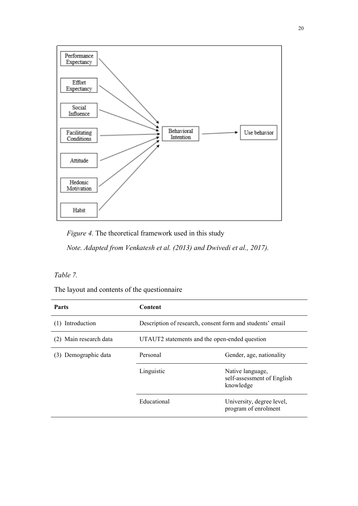

*Figure 4.* The theoretical framework used in this study

*Note. Adapted from Venkatesh et al. (2013) and Dwivedi et al., 2017).*

# *Table 7.*

The layout and contents of the questionnaire

| Parts                  | <b>Content</b>                                            |                                                             |  |
|------------------------|-----------------------------------------------------------|-------------------------------------------------------------|--|
| Introduction           | Description of research, consent form and students' email |                                                             |  |
| (2) Main research data | UTAUT2 statements and the open-ended question             |                                                             |  |
| (3) Demographic data   | Personal                                                  | Gender, age, nationality                                    |  |
|                        | Linguistic                                                | Native language,<br>self-assessment of English<br>knowledge |  |
|                        | Educational                                               | University, degree level,<br>program of enrolment           |  |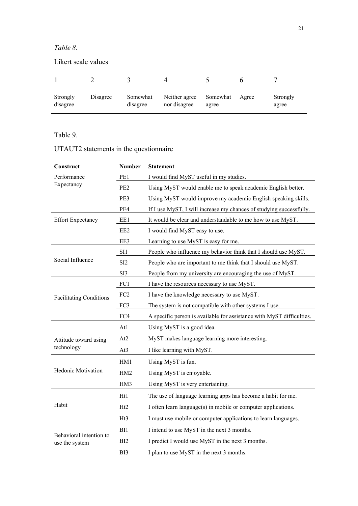# *Table 8.*

Likert scale values

| Strongly<br>disagree | Disagree | Somewhat<br>disagree | Neither agree<br>nor disagree | Somewhat<br>agree | Agree | Strongly<br>agree |
|----------------------|----------|----------------------|-------------------------------|-------------------|-------|-------------------|

Table 9.

# UTAUT2 statements in the questionnaire

| <b>Number</b><br>Construct                |                 | <b>Statement</b>                                                      |  |  |
|-------------------------------------------|-----------------|-----------------------------------------------------------------------|--|--|
| Performance                               | PE1             | I would find MyST useful in my studies.                               |  |  |
| Expectancy                                | PE <sub>2</sub> | Using MyST would enable me to speak academic English better.          |  |  |
|                                           | PE3             | Using MyST would improve my academic English speaking skills.         |  |  |
|                                           | PE4             | If I use MyST, I will increase my chances of studying successfully.   |  |  |
| <b>Effort Expectancy</b>                  | EE1             | It would be clear and understandable to me how to use MyST.           |  |  |
|                                           | EE2             | I would find MyST easy to use.                                        |  |  |
|                                           | EE3             | Learning to use MyST is easy for me.                                  |  |  |
|                                           | SI1             | People who influence my behavior think that I should use MyST.        |  |  |
| Social Influence                          | SI <sub>2</sub> | People who are important to me think that I should use MyST.          |  |  |
|                                           | SI3             | People from my university are encouraging the use of MyST.            |  |  |
|                                           | FC1             | I have the resources necessary to use MyST.                           |  |  |
| <b>Facilitating Conditions</b>            | FC <sub>2</sub> | I have the knowledge necessary to use MyST.                           |  |  |
|                                           | FC3             | The system is not compatible with other systems I use.                |  |  |
|                                           | FC4             | A specific person is available for assistance with MyST difficulties. |  |  |
|                                           | At1             | Using MyST is a good idea.                                            |  |  |
| Attitude toward using                     | At2             | MyST makes language learning more interesting.                        |  |  |
| technology                                | At3             | I like learning with MyST.                                            |  |  |
|                                           | HM1             | Using MyST is fun.                                                    |  |  |
| Hedonic Motivation                        | HM <sub>2</sub> | Using MyST is enjoyable.                                              |  |  |
|                                           | HM3             | Using MyST is very entertaining.                                      |  |  |
|                                           | Ht1             | The use of language learning apps has become a habit for me.          |  |  |
| Habit                                     | Ht2             | I often learn language(s) in mobile or computer applications.         |  |  |
|                                           | Ht3             | I must use mobile or computer applications to learn languages.        |  |  |
|                                           | BI1             | I intend to use MyST in the next 3 months.                            |  |  |
| Behavioral intention to<br>use the system | B <sub>I2</sub> | I predict I would use MyST in the next 3 months.                      |  |  |
|                                           | BI3             | I plan to use MyST in the next 3 months.                              |  |  |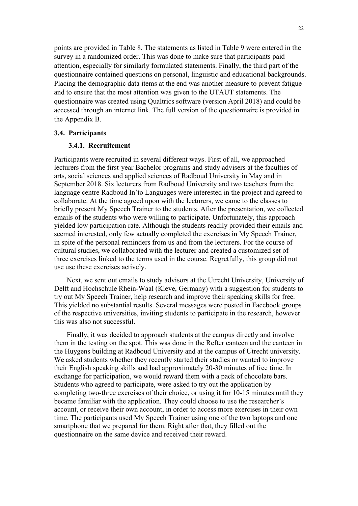points are provided in Table 8. The statements as listed in Table 9 were entered in the survey in a randomized order. This was done to make sure that participants paid attention, especially for similarly formulated statements. Finally, the third part of the questionnaire contained questions on personal, linguistic and educational backgrounds. Placing the demographic data items at the end was another measure to prevent fatigue and to ensure that the most attention was given to the UTAUT statements. The questionnaire was created using Qualtrics software (version April 2018) and could be accessed through an internet link. The full version of the questionnaire is provided in the Appendix B.

### **3.4. Participants**

### **3.4.1. Recruitement**

Participants were recruited in several different ways. First of all, we approached lecturers from the first-year Bachelor programs and study advisers at the faculties of arts, social sciences and applied sciences of Radboud University in May and in September 2018. Six lecturers from Radboud University and two teachers from the language centre Radboud In'to Languages were interested in the project and agreed to collaborate. At the time agreed upon with the lecturers, we came to the classes to briefly present My Speech Trainer to the students. After the presentation, we collected emails of the students who were willing to participate. Unfortunately, this approach yielded low participation rate. Although the students readily provided their emails and seemed interested, only few actually completed the exercises in My Speech Trainer, in spite of the personal reminders from us and from the lecturers. For the course of cultural studies, we collaborated with the lecturer and created a customized set of three exercises linked to the terms used in the course. Regretfully, this group did not use use these exercises actively.

Next, we sent out emails to study advisors at the Utrecht University, University of Delft and Hochschule Rhein-Waal (Kleve, Germany) with a suggestion for students to try out My Speech Trainer, help research and improve their speaking skills for free. This yielded no substantial results. Several messages were posted in Facebook groups of the respective universities, inviting students to participate in the research, however this was also not successful.

Finally, it was decided to approach students at the campus directly and involve them in the testing on the spot. This was done in the Refter canteen and the canteen in the Huygens building at Radboud University and at the campus of Utrecht university. We asked students whether they recently started their studies or wanted to improve their English speaking skills and had approximately 20-30 minutes of free time. In exchange for participation, we would reward them with a pack of chocolate bars. Students who agreed to participate, were asked to try out the application by completing two-three exercises of their choice, or using it for 10-15 minutes until they became familiar with the application. They could choose to use the researcher's account, or receive their own account, in order to access more exercises in their own time. The participants used My Speech Trainer using one of the two laptops and one smartphone that we prepared for them. Right after that, they filled out the questionnaire on the same device and received their reward.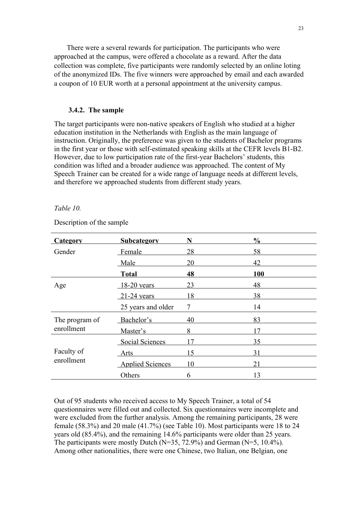There were a several rewards for participation. The participants who were approached at the campus, were offered a chocolate as a reward. After the data collection was complete, five participants were randomly selected by an online loting of the anonymized IDs. The five winners were approached by email and each awarded a coupon of 10 EUR worth at a personal appointment at the university campus.

### **3.4.2. The sample**

The target participants were non-native speakers of English who studied at a higher education institution in the Netherlands with English as the main language of instruction. Originally, the preference was given to the students of Bachelor programs in the first year or those with self-estimated speaking skills at the CEFR levels B1-B2. However, due to low participation rate of the first-year Bachelors' students, this condition was lifted and a broader audience was approached. The content of My Speech Trainer can be created for a wide range of language needs at different levels, and therefore we approached students from different study years.

### *Table 10.*

| Category       | <b>Subcategory</b>      | N  | $\frac{0}{0}$ |
|----------------|-------------------------|----|---------------|
| Gender         | Female                  | 28 | 58            |
|                | Male                    | 20 | 42            |
|                | <b>Total</b>            | 48 | <b>100</b>    |
| Age            | $18-20$ years           | 23 | 48            |
|                | $21-24$ years           | 18 | <u>38</u>     |
|                | 25 years and older      | 7  | 14            |
| The program of | Bachelor's              | 40 | 83            |
| enrollment     | Master's                | 8  | 17            |
|                | <b>Social Sciences</b>  |    | 35            |
| Faculty of     | Arts                    | 15 | 31            |
| enrollment     | <b>Applied Sciences</b> | 10 | 21            |
|                | Others                  | 6  | 13            |

Description of the sample

Out of 95 students who received access to My Speech Trainer, a total of 54 questionnaires were filled out and collected. Six questionnaires were incomplete and were excluded from the further analysis. Among the remaining participants, 28 were female (58.3%) and 20 male (41.7%) (see Table 10). Most participants were 18 to 24 years old (85.4%), and the remaining 14.6% participants were older than 25 years. The participants were mostly Dutch (N=35, 72.9%) and German (N=5, 10.4%). Among other nationalities, there were one Chinese, two Italian, one Belgian, one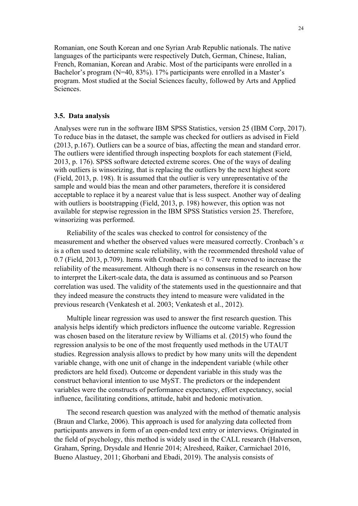Romanian, one South Korean and one Syrian Arab Republic nationals. The native languages of the participants were respectively Dutch, German, Chinese, Italian, French, Romanian, Korean and Arabic. Most of the participants were enrolled in a Bachelor's program (N=40, 83%). 17% participants were enrolled in a Master's program. Most studied at the Social Sciences faculty, followed by Arts and Applied Sciences.

### **3.5. Data analysis**

Analyses were run in the software IBM SPSS Statistics, version 25 (IBM Corp, 2017). To reduce bias in the dataset, the sample was checked for outliers as advised in Field (2013, p.167). Outliers can be a source of bias, affecting the mean and standard error. The outliers were identified through inspecting boxplots for each statement (Field, 2013, p. 176). SPSS software detected extreme scores. One of the ways of dealing with outliers is winsorizing, that is replacing the outliers by the next highest score (Field, 2013, p. 198). It is assumed that the outlier is very unrepresentative of the sample and would bias the mean and other parameters, therefore it is considered acceptable to replace it by a nearest value that is less suspect. Another way of dealing with outliers is bootstrapping (Field, 2013, p. 198) however, this option was not available for stepwise regression in the IBM SPSS Statistics version 25. Therefore, winsorizing was performed.

Reliability of the scales was checked to control for consistency of the measurement and whether the observed values were measured correctly. Cronbach's *α* is a often used to determine scale reliability, with the recommended threshold value of 0.7 (Field, 2013, p.709). Items with Cronbach's  $\alpha$  < 0.7 were removed to increase the reliability of the measurement. Although there is no consensus in the research on how to interpret the Likert-scale data, the data is assumed as continuous and so Pearson correlation was used. The validity of the statements used in the questionnaire and that they indeed measure the constructs they intend to measure were validated in the previous research (Venkatesh et al. 2003; Venkatesh et al., 2012).

Multiple linear regression was used to answer the first research question. This analysis helps identify which predictors influence the outcome variable. Regression was chosen based on the literature review by Williams et al. (2015) who found the regression analysis to be one of the most frequently used methods in the UTAUT studies. Regression analysis allows to predict by how many units will the dependent variable change, with one unit of change in the independent variable (while other predictors are held fixed). Outcome or dependent variable in this study was the construct behavioral intention to use MyST. The predictors or the independent variables were the constructs of performance expectancy, effort expectancy, social influence, facilitating conditions, attitude, habit and hedonic motivation.

The second research question was analyzed with the method of thematic analysis (Braun and Clarke, 2006). This approach is used for analyzing data collected from participants answers in form of an open-ended text entry or interviews. Originated in the field of psychology, this method is widely used in the CALL research (Halverson, Graham, Spring, Drysdale and Henrie 2014; Alresheed, Raiker, Carmichael 2016, Bueno Alastuey, 2011; Ghorbani and Ebadi, 2019). The analysis consists of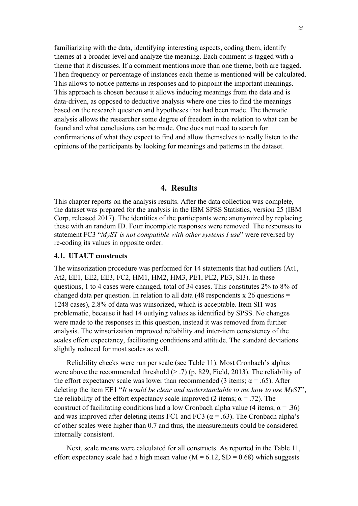familiarizing with the data, identifying interesting aspects, coding them, identify themes at a broader level and analyze the meaning. Each comment is tagged with a theme that it discusses. If a comment mentions more than one theme, both are tagged. Then frequency or percentage of instances each theme is mentioned will be calculated. This allows to notice patterns in responses and to pinpoint the important meanings. This approach is chosen because it allows inducing meanings from the data and is data-driven, as opposed to deductive analysis where one tries to find the meanings based on the research question and hypotheses that had been made. The thematic analysis allows the researcher some degree of freedom in the relation to what can be found and what conclusions can be made. One does not need to search for confirmations of what they expect to find and allow themselves to really listen to the opinions of the participants by looking for meanings and patterns in the dataset.

# **4. Results**

This chapter reports on the analysis results. After the data collection was complete, the dataset was prepared for the analysis in the IBM SPSS Statistics, version 25 (IBM Corp, released 2017). The identities of the participants were anonymized by replacing these with an random ID. Four incomplete responses were removed. The responses to statement FC3 "*MyST is not compatible with other systems I use*" were reversed by re-coding its values in opposite order.

### **4.1. UTAUT constructs**

The winsorization procedure was performed for 14 statements that had outliers (At1, At2, EE1, EE2, EE3, FC2, HM1, HM2, HM3, PE1, PE2, PE3, SI3). In these questions, 1 to 4 cases were changed, total of 34 cases. This constitutes 2% to 8% of changed data per question. In relation to all data (48 respondents x 26 questions = 1248 cases), 2.8% of data was winsorized, which is acceptable. Item SI1 was problematic, because it had 14 outlying values as identified by SPSS. No changes were made to the responses in this question, instead it was removed from further analysis. The winsorization improved reliability and inter-item consistency of the scales effort expectancy, facilitating conditions and attitude. The standard deviations slightly reduced for most scales as well.

Reliability checks were run per scale (see Table 11). Most Cronbach's alphas were above the recommended threshold  $(> 7)$  (p. 829, Field, 2013). The reliability of the effort expectancy scale was lower than recommended (3 items;  $\alpha$  = .65). After deleting the item EE1 "*It would be clear and understandable to me how to use MyST*", the reliability of the effort expectancy scale improved (2 items;  $\alpha = .72$ ). The construct of facilitating conditions had a low Cronbach alpha value (4 items;  $\alpha = .36$ ) and was improved after deleting items FC1 and FC3 ( $\alpha$  = .63). The Cronbach alpha's of other scales were higher than 0.7 and thus, the measurements could be considered internally consistent.

Next, scale means were calculated for all constructs. As reported in the Table 11, effort expectancy scale had a high mean value ( $M = 6.12$ , SD = 0.68) which suggests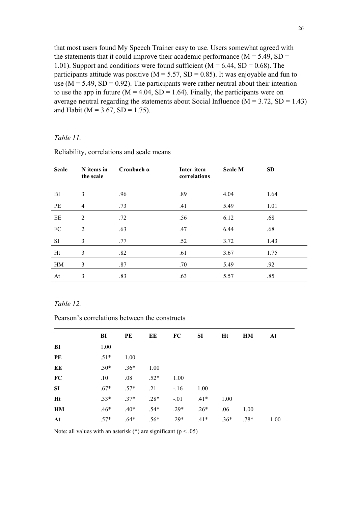that most users found My Speech Trainer easy to use. Users somewhat agreed with the statements that it could improve their academic performance ( $M = 5.49$ , SD = 1.01). Support and conditions were found sufficient ( $M = 6.44$ , SD = 0.68). The participants attitude was positive ( $M = 5.57$ , SD = 0.85). It was enjoyable and fun to use ( $M = 5.49$ ,  $SD = 0.92$ ). The participants were rather neutral about their intention to use the app in future ( $M = 4.04$ ,  $SD = 1.64$ ). Finally, the participants were on average neutral regarding the statements about Social Influence ( $M = 3.72$ , SD = 1.43) and Habit ( $M = 3.67$ ,  $SD = 1.75$ ).

# *Table 11.*

| <b>Scale</b> | N items in<br>the scale | Cronbach $\alpha$ | Inter-item<br>correlations | <b>Scale M</b> | <b>SD</b> |
|--------------|-------------------------|-------------------|----------------------------|----------------|-----------|
| BI           | 3                       | .96               | .89                        | 4.04           | 1.64      |
| PE           | $\overline{4}$          | .73               | .41                        | 5.49           | 1.01      |
| EE           | $\overline{2}$          | .72               | .56                        | 6.12           | .68       |
| FC           | 2                       | .63               | .47                        | 6.44           | .68       |
| <b>SI</b>    | 3                       | .77               | .52                        | 3.72           | 1.43      |
| Ht           | 3                       | .82               | .61                        | 3.67           | 1.75      |
| HM           | 3                       | .87               | .70                        | 5.49           | .92       |
| At           | 3                       | .83               | .63                        | 5.57           | .85       |

Reliability, correlations and scale means

# *Table 12.*

Pearson's correlations between the constructs

|    | BI     | PE     | ЕE     | FC          | SI     | Ht     | HМ     | At   |
|----|--------|--------|--------|-------------|--------|--------|--------|------|
| BI | 1.00   |        |        |             |        |        |        |      |
| PE | $.51*$ | 1.00   |        |             |        |        |        |      |
| EE | $.30*$ | $.36*$ | 1.00   |             |        |        |        |      |
| FC | .10    | .08    | $.52*$ | 1.00        |        |        |        |      |
| SI | $.67*$ | $.57*$ | .21    | $-.16$      | 1.00   |        |        |      |
| Ht | $.33*$ | $.37*$ |        | $.28* -.01$ | $.41*$ | 1.00   |        |      |
| HM | $.46*$ | $.40*$ | $.54*$ | $.29*$      | $.26*$ | .06    | 1.00   |      |
| At | $.57*$ | $.64*$ | $.56*$ | $.29*$      | $.41*$ | $.36*$ | $.78*$ | 1.00 |

Note: all values with an asterisk  $(*)$  are significant ( $p < .05$ )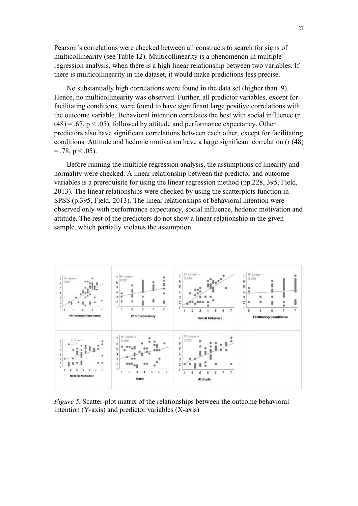Pearson's correlations were checked between all constructs to search for signs of multicollinearity (see Table 12). Multicollinearity is a phenomenon in multiple regression analysis, when there is a high linear relationship between two variables. If there is multicollinearity in the dataset, it would make predictions less precise.

No substantially high correlations were found in the data set (higher than .9). Hence, no multicollinearity was observed. Further, all predictor variables, except for facilitating conditions, were found to have significant large positive correlations with the outcome variable. Behavioral intention correlates the best with social influence (r  $(48) = .67$ ,  $p < .05$ ), followed by attitude and performance expectancy. Other predictors also have significant correlations between each other, except for facilitating conditions. Attitude and hedonic motivation have a large significant correlation (r (48)  $= .78$ ,  $p < .05$ ).

Before running the multiple regression analysis, the assumptions of linearity and normality were checked. A linear relationship between the predictor and outcome variables is a prerequisite for using the linear regression method (pp.228, 395, Field, 2013). The linear relationships were checked by using the scatterplots function in SPSS (p.395, Field, 2013). The linear relationships of behavioral intention were observed only with performance expectancy, social influence, hedonic motivation and attitude. The rest of the predictors do not show a linear relationship in the given sample, which partially violates the assumption.



*Figure 5.* Scatter-plot matrix of the relationships between the outcome behavioral intention (Y-axis) and predictor variables (X-axis)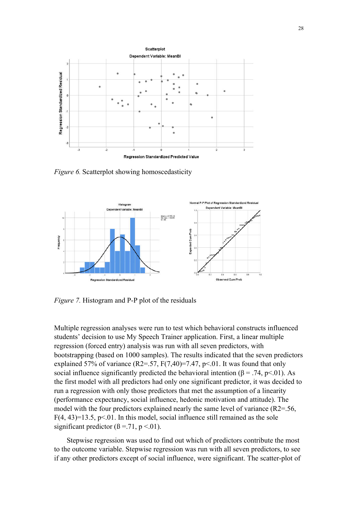

*Figure 6.* Scatterplot showing homoscedasticity



*Figure 7.* Histogram and P-P plot of the residuals

Multiple regression analyses were run to test which behavioral constructs influenced students' decision to use My Speech Trainer application. First, a linear multiple regression (forced entry) analysis was run with all seven predictors, with bootstrapping (based on 1000 samples). The results indicated that the seven predictors explained 57% of variance (R2=.57, F(7,40)=7.47, p<.01. It was found that only social influence significantly predicted the behavioral intention ( $\beta$  = .74, p<.01). As the first model with all predictors had only one significant predictor, it was decided to run a regression with only those predictors that met the assumption of a linearity (performance expectancy, social influence, hedonic motivation and attitude). The model with the four predictors explained nearly the same level of variance  $(R2=56,$  $F(4, 43)=13.5$ ,  $p<01$ . In this model, social influence still remained as the sole significant predictor  $(\beta = .71, p < .01)$ .

Stepwise regression was used to find out which of predictors contribute the most to the outcome variable. Stepwise regression was run with all seven predictors, to see if any other predictors except of social influence, were significant. The scatter-plot of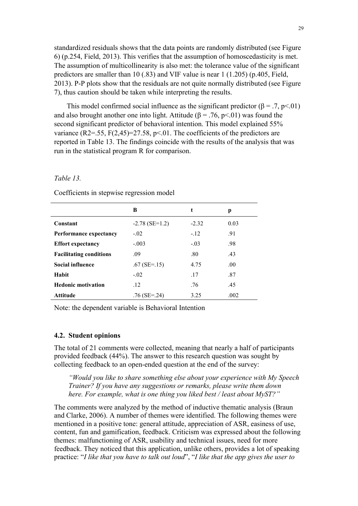standardized residuals shows that the data points are randomly distributed (see Figure 6) (p.254, Field, 2013). This verifies that the assumption of homoscedasticity is met. The assumption of multicollinearity is also met: the tolerance value of the significant predictors are smaller than 10 (.83) and VIF value is near 1 (1.205) (p.405, Field, 2013). P-P plots show that the residuals are not quite normally distributed (see Figure 7), thus caution should be taken while interpreting the results.

This model confirmed social influence as the significant predictor ( $\beta = .7$ , p<.01) and also brought another one into light. Attitude ( $\beta$  = .76, p<.01) was found the second significant predictor of behavioral intention. This model explained 55% variance  $(R2=55, F(2,45)=27.58, p<0.01$ . The coefficients of the predictors are reported in Table 13. The findings coincide with the results of the analysis that was run in the statistical program R for comparison.

### *Table 13.*

|                                | B                  | t       | р    |
|--------------------------------|--------------------|---------|------|
| Constant                       | $-2.78$ (SE=1.2)   | $-2.32$ | 0.03 |
| Performance expectancy         | $-.02$             | $-12$   | .91  |
| <b>Effort expectancy</b>       | $-.003$            | $-.03$  | .98  |
| <b>Facilitating conditions</b> | .09                | .80     | .43  |
| Social influence               | $.67$ (SE= $.15$ ) | 4.75    | .00. |
| Habit                          | $-02$              | .17     | .87  |
| <b>Hedonic motivation</b>      | .12                | .76     | .45  |
| <b>Attitude</b>                | $.76$ (SE= $.24$ ) | 3.25    | .002 |

Coefficients in stepwise regression model

Note: the dependent variable is Behavioral Intention

### **4.2. Student opinions**

The total of 21 comments were collected, meaning that nearly a half of participants provided feedback (44%). The answer to this research question was sought by collecting feedback to an open-ended question at the end of the survey:

*"Would you like to share something else about your experience with My Speech Trainer? If you have any suggestions or remarks, please write them down here. For example, what is one thing you liked best / least about MyST?"*

The comments were analyzed by the method of inductive thematic analysis (Braun and Clarke, 2006). A number of themes were identified. The following themes were mentioned in a positive tone: general attitude, appreciation of ASR, easiness of use, content, fun and gamification, feedback. Criticism was expressed about the following themes: malfunctioning of ASR, usability and technical issues, need for more feedback. They noticed that this application, unlike others, provides a lot of speaking practice: "*I like that you have to talk out loud*", "*I like that the app gives the user to*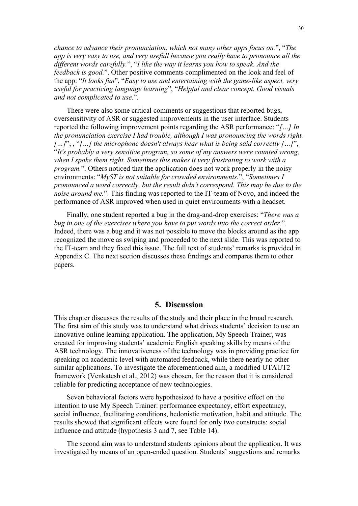*chance to advance their pronunciation, which not many other apps focus on.*", "*The app is very easy to use, and very usefull because you really have to pronounce all the different words carefully.*", "*I like the way it learns you how to speak. And the feedback is good.*". Other positive comments complimented on the look and feel of the app: "*It looks fun*", "*Easy to use and entertaining with the game-like aspect, very useful for practicing language learning*", "*Helpful and clear concept. Good visuals and not complicated to use.*".

There were also some critical comments or suggestions that reported bugs, oversensitivity of ASR or suggested improvements in the user interface. Students reported the following improvement points regarding the ASR performance: "*[…] In the pronunciation exercise I had trouble, although I was pronouncing the words right. […]*", , "*[…] the microphone doesn't always hear what is being said correctly […]*", "*It's probably a very sensitive program, so some of my answers were counted wrong, when I spoke them right. Sometimes this makes it very frustrating to work with a program.*". Others noticed that the application does not work properly in the noisy environments: "*MyST is not suitable for crowded environments.*", "*Sometimes I pronounced a word correctly, but the result didn't correspond. This may be due to the noise around me.*". This finding was reported to the IT-team of Novo, and indeed the performance of ASR improved when used in quiet environments with a headset.

Finally, one student reported a bug in the drag-and-drop exercises: "*There was a bug in one of the exercises where you have to put words into the correct order.*". Indeed, there was a bug and it was not possible to move the blocks around as the app recognized the move as swiping and proceeded to the next slide. This was reported to the IT-team and they fixed this issue. The full text of students' remarks is provided in Appendix C. The next section discusses these findings and compares them to other papers.

# **5. Discussion**

This chapter discusses the results of the study and their place in the broad research. The first aim of this study was to understand what drives students' decision to use an innovative online learning application. The application, My Speech Trainer, was created for improving students' academic English speaking skills by means of the ASR technology. The innovativeness of the technology was in providing practice for speaking on academic level with automated feedback, while there nearly no other similar applications. To investigate the aforementioned aim, a modified UTAUT2 framework (Venkatesh et al., 2012) was chosen, for the reason that it is considered reliable for predicting acceptance of new technologies.

Seven behavioral factors were hypothesized to have a positive effect on the intention to use My Speech Trainer: performance expectancy, effort expectancy, social influence, facilitating conditions, hedonistic motivation, habit and attitude. The results showed that significant effects were found for only two constructs: social influence and attitude (hypothesis 3 and 7, see Table 14).

The second aim was to understand students opinions about the application. It was investigated by means of an open-ended question. Students' suggestions and remarks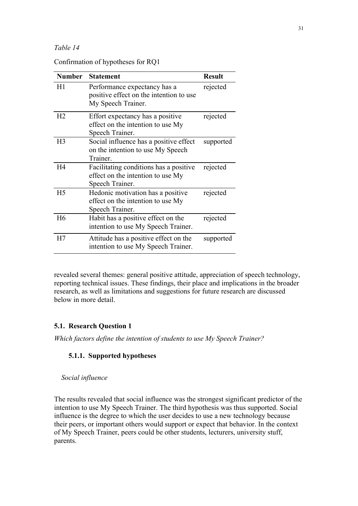### *Table 14*

| <b>Number</b>  | <b>Statement</b>                                                                               | <b>Result</b> |
|----------------|------------------------------------------------------------------------------------------------|---------------|
| H1             | Performance expectancy has a<br>positive effect on the intention to use<br>My Speech Trainer.  | rejected      |
| H <sub>2</sub> | Effort expectancy has a positive<br>effect on the intention to use My<br>Speech Trainer.       | rejected      |
| H <sub>3</sub> | Social influence has a positive effect<br>on the intention to use My Speech<br>Trainer.        | supported     |
| H4             | Facilitating conditions has a positive<br>effect on the intention to use My<br>Speech Trainer. | rejected      |
| H <sub>5</sub> | Hedonic motivation has a positive<br>effect on the intention to use My<br>Speech Trainer.      | rejected      |
| H <sub>6</sub> | Habit has a positive effect on the<br>intention to use My Speech Trainer.                      | rejected      |
| H7             | Attitude has a positive effect on the<br>intention to use My Speech Trainer.                   | supported     |

Confirmation of hypotheses for RQ1

revealed several themes: general positive attitude, appreciation of speech technology, reporting technical issues. These findings, their place and implications in the broader research, as well as limitations and suggestions for future research are discussed below in more detail.

# **5.1. Research Question 1**

*Which factors define the intention of students to use My Speech Trainer?*

# **5.1.1. Supported hypotheses**

# *Social influence*

The results revealed that social influence was the strongest significant predictor of the intention to use My Speech Trainer. The third hypothesis was thus supported. Social influence is the degree to which the user decides to use a new technology because their peers, or important others would support or expect that behavior. In the context of My Speech Trainer, peers could be other students, lecturers, university stuff, parents.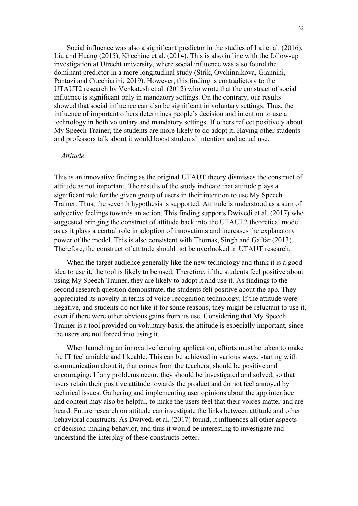Social influence was also a significant predictor in the studies of Lai et al. (2016), Liu and Huang (2015), Khechine et al. (2014). This is also in line with the follow-up investigation at Utrecht university, where social influence was also found the dominant predictor in a more longitudinal study (Strik, Ovchinnikova, Giannini, Pantazi and Cucchiarini, 2019). However, this finding is contradictory to the UTAUT2 research by Venkatesh et al. (2012) who wrote that the construct of social influence is significant only in mandatory settings. On the contrary, our results showed that social influence can also be significant in voluntary settings. Thus, the influence of important others determines people's decision and intention to use a technology in both voluntary and mandatory settings. If others reflect positively about My Speech Trainer, the students are more likely to do adopt it. Having other students and professors talk about it would boost students' intention and actual use.

### *Attitude*

This is an innovative finding as the original UTAUT theory dismisses the construct of attitude as not important. The results of the study indicate that attitude plays a significant role for the given group of users in their intention to use My Speech Trainer. Thus, the seventh hypothesis is supported. Attitude is understood as a sum of subjective feelings towards an action. This finding supports Dwivedi et al. (2017) who suggested bringing the construct of attitude back into the UTAUT2 theoretical model as as it plays a central role in adoption of innovations and increases the explanatory power of the model. This is also consistent with Thomas, Singh and Gaffar (2013). Therefore, the construct of attitude should not be overlooked in UTAUT research.

When the target audience generally like the new technology and think it is a good idea to use it, the tool is likely to be used. Therefore, if the students feel positive about using My Speech Trainer, they are likely to adopt it and use it. As findings to the second research question demonstrate, the students felt positive about the app. They appreciated its novelty in terms of voice-recognition technology. If the attitude were negative, and students do not like it for some reasons, they might be reluctant to use it, even if there were other obvious gains from its use. Considering that My Speech Trainer is a tool provided on voluntary basis, the attitude is especially important, since the users are not forced into using it.

When launching an innovative learning application, efforts must be taken to make the IT feel amiable and likeable. This can be achieved in various ways, starting with communication about it, that comes from the teachers, should be positive and encouraging. If any problems occur, they should be investigated and solved, so that users retain their positive attitude towards the product and do not feel annoyed by technical issues. Gathering and implementing user opinions about the app interface and content may also be helpful, to make the users feel that their voices matter and are heard. Future research on attitude can investigate the links between attitude and other behavioral constructs. As Dwivedi et al. (2017) found, it influences all other aspects of decision-making behavior, and thus it would be interesting to investigate and understand the interplay of these constructs better.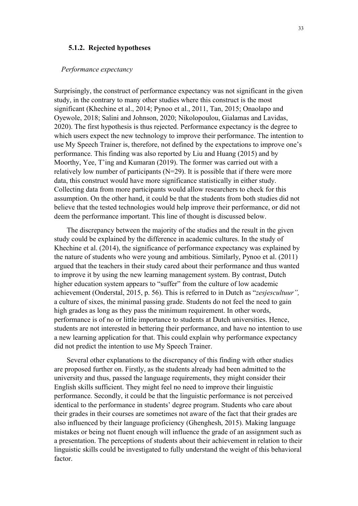### **5.1.2. Rejected hypotheses**

# *Performance expectancy*

Surprisingly, the construct of performance expectancy was not significant in the given study, in the contrary to many other studies where this construct is the most significant (Khechine et al., 2014; Pynoo et al., 2011, Tan, 2015; Onaolapo and Oyewole, 2018; Salini and Johnson, 2020; Nikolopoulou, Gialamas and Lavidas, 2020). The first hypothesis is thus rejected. Performance expectancy is the degree to which users expect the new technology to improve their performance. The intention to use My Speech Trainer is, therefore, not defined by the expectations to improve one's performance. This finding was also reported by Liu and Huang (2015) and by Moorthy, Yee, T'ing and Kumaran (2019). The former was carried out with a relatively low number of participants  $(N=29)$ . It is possible that if there were more data, this construct would have more significance statistically in either study. Collecting data from more participants would allow researchers to check for this assumption. On the other hand, it could be that the students from both studies did not believe that the tested technologies would help improve their performance, or did not deem the performance important. This line of thought is discussed below.

The discrepancy between the majority of the studies and the result in the given study could be explained by the difference in academic cultures. In the study of Khechine et al. (2014), the significance of performance expectancy was explained by the nature of students who were young and ambitious. Similarly, Pynoo et al. (2011) argued that the teachers in their study cared about their performance and thus wanted to improve it by using the new learning management system. By contrast, Dutch higher education system appears to "suffer" from the culture of low academic achievement (Onderstal, 2015, p. 56). This is referred to in Dutch as "*zesjescultuur",* a culture of sixes, the minimal passing grade. Students do not feel the need to gain high grades as long as they pass the minimum requirement. In other words, performance is of no or little importance to students at Dutch universities. Hence, students are not interested in bettering their performance, and have no intention to use a new learning application for that. This could explain why performance expectancy did not predict the intention to use My Speech Trainer.

Several other explanations to the discrepancy of this finding with other studies are proposed further on. Firstly, as the students already had been admitted to the university and thus, passed the language requirements, they might consider their English skills sufficient. They might feel no need to improve their linguistic performance. Secondly, it could be that the linguistic performance is not perceived identical to the performance in students' degree program. Students who care about their grades in their courses are sometimes not aware of the fact that their grades are also influenced by their language proficiency (Ghenghesh, 2015). Making language mistakes or being not fluent enough will influence the grade of an assignment such as a presentation. The perceptions of students about their achievement in relation to their linguistic skills could be investigated to fully understand the weight of this behavioral factor.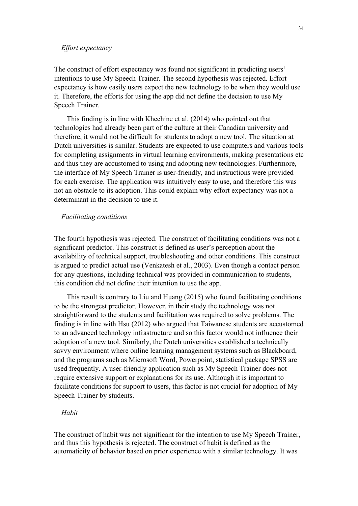### *Effort expectancy*

The construct of effort expectancy was found not significant in predicting users' intentions to use My Speech Trainer. The second hypothesis was rejected. Effort expectancy is how easily users expect the new technology to be when they would use it. Therefore, the efforts for using the app did not define the decision to use My Speech Trainer.

This finding is in line with Khechine et al. (2014) who pointed out that technologies had already been part of the culture at their Canadian university and therefore, it would not be difficult for students to adopt a new tool. The situation at Dutch universities is similar. Students are expected to use computers and various tools for completing assignments in virtual learning environments, making presentations etc and thus they are accustomed to using and adopting new technologies. Furthermore, the interface of My Speech Trainer is user-friendly, and instructions were provided for each exercise. The application was intuitively easy to use, and therefore this was not an obstacle to its adoption. This could explain why effort expectancy was not a determinant in the decision to use it.

### *Facilitating conditions*

The fourth hypothesis was rejected. The construct of facilitating conditions was not a significant predictor. This construct is defined as user's perception about the availability of technical support, troubleshooting and other conditions. This construct is argued to predict actual use (Venkatesh et al., 2003). Even though a contact person for any questions, including technical was provided in communication to students, this condition did not define their intention to use the app.

This result is contrary to Liu and Huang (2015) who found facilitating conditions to be the strongest predictor. However, in their study the technology was not straightforward to the students and facilitation was required to solve problems. The finding is in line with Hsu (2012) who argued that Taiwanese students are accustomed to an advanced technology infrastructure and so this factor would not influence their adoption of a new tool. Similarly, the Dutch universities established a technically savvy environment where online learning management systems such as Blackboard, and the programs such as Microsoft Word, Powerpoint, statistical package SPSS are used frequently. A user-friendly application such as My Speech Trainer does not require extensive support or explanations for its use. Although it is important to facilitate conditions for support to users, this factor is not crucial for adoption of My Speech Trainer by students.

# *Habit*

The construct of habit was not significant for the intention to use My Speech Trainer, and thus this hypothesis is rejected. The construct of habit is defined as the automaticity of behavior based on prior experience with a similar technology. It was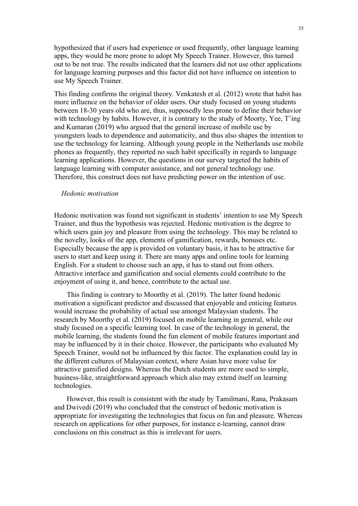hypothesized that if users had experience or used frequently, other language learning apps, they would be more prone to adopt My Speech Trainer. However, this turned out to be not true. The results indicated that the learners did not use other applications for language learning purposes and this factor did not have influence on intention to use My Speech Trainer.

This finding confirms the original theory. Venkatesh et al. (2012) wrote that habit has more influence on the behavior of older users. Our study focused on young students between 18-30 years old who are, thus, supposedly less prone to define their behavior with technology by habits. However, it is contrary to the study of Moorty, Yee, T'ing and Kumaran (2019) who argued that the general increase of mobile use by youngsters leads to dependence and automaticity, and thus also shapes the intention to use the technology for learning. Although young people in the Netherlands use mobile phones as frequently, they reported no such habit specifically in regards to language learning applications. However, the questions in our survey targeted the habits of language learning with computer assistance, and not general technology use. Therefore, this construct does not have predicting power on the intention of use.

#### *Hedonic motivation*

Hedonic motivation was found not significant in students' intention to use My Speech Trainer, and thus the hypothesis was rejected. Hedonic motivation is the degree to which users gain joy and pleasure from using the technology. This may be related to the novelty, looks of the app, elements of gamification, rewards, bonuses etc. Especially because the app is provided on voluntary basis, it has to be attractive for users to start and keep using it. There are many apps and online tools for learning English. For a student to choose such an app, it has to stand out from others. Attractive interface and gamification and social elements could contribute to the enjoyment of using it, and hence, contribute to the actual use.

This finding is contrary to Moorthy et al. (2019). The latter found hedonic motivation a significant predictor and discussed that enjoyable and enticing features would increase the probability of actual use amongst Malaysian students. The research by Moorthy et al. (2019) focused on mobile learning in general, while our study focused on a specific learning tool. In case of the technology in general, the mobile learning, the students found the fun element of mobile features important and may be influenced by it in their choice. However, the participants who evaluated My Speech Trainer, would not be influenced by this factor. The explanation could lay in the different cultures of Malaysian context, where Asian have more value for attractive gamified designs. Whereas the Dutch students are more used to simple, business-like, straightforward approach which also may extend itself on learning technologies.

However, this result is consistent with the study by Tamilmani, Rana, Prakasam and Dwivedi (2019) who concluded that the construct of hedonic motivation is appropriate for investigating the technologies that focus on fun and pleasure. Whereas research on applications for other purposes, for instance e-learning, cannot draw conclusions on this construct as this is irrelevant for users.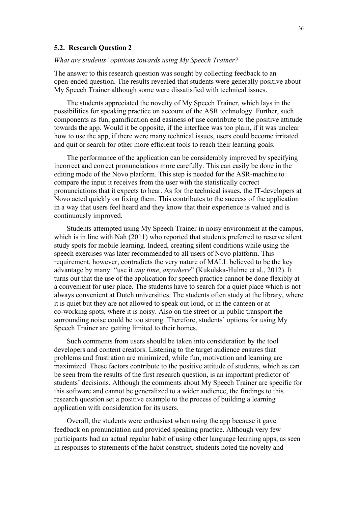## **5.2. Research Question 2**

## *What are students' opinions towards using My Speech Trainer?*

The answer to this research question was sought by collecting feedback to an open-ended question. The results revealed that students were generally positive about My Speech Trainer although some were dissatisfied with technical issues.

The students appreciated the novelty of My Speech Trainer, which lays in the possibilities for speaking practice on account of the ASR technology. Further, such components as fun, gamification end easiness of use contribute to the positive attitude towards the app. Would it be opposite, if the interface was too plain, if it was unclear how to use the app, if there were many technical issues, users could become irritated and quit or search for other more efficient tools to reach their learning goals.

The performance of the application can be considerably improved by specifying incorrect and correct pronunciations more carefully. This can easily be done in the editing mode of the Novo platform. This step is needed for the ASR-machine to compare the input it receives from the user with the statistically correct pronunciations that it expects to hear. As for the technical issues, the IT-developers at Novo acted quickly on fixing them. This contributes to the success of the application in a way that users feel heard and they know that their experience is valued and is continuously improved.

Students attempted using My Speech Trainer in noisy environment at the campus, which is in line with Nah (2011) who reported that students preferred to reserve silent study spots for mobile learning. Indeed, creating silent conditions while using the speech exercises was later recommended to all users of Novo platform. This requirement, however, contradicts the very nature of MALL believed to be the key advantage by many: "use it *any time*, *anywhere*" (Kukulska-Hulme et al., 2012). It turns out that the use of the application for speech practice cannot be done flexibly at a convenient for user place. The students have to search for a quiet place which is not always convenient at Dutch universities. The students often study at the library, where it is quiet but they are not allowed to speak out loud, or in the canteen or at co-working spots, where it is noisy. Also on the street or in public transport the surrounding noise could be too strong. Therefore, students' options for using My Speech Trainer are getting limited to their homes.

Such comments from users should be taken into consideration by the tool developers and content creators. Listening to the target audience ensures that problems and frustration are minimized, while fun, motivation and learning are maximized. These factors contribute to the positive attitude of students, which as can be seen from the results of the first research question, is an important predictor of students' decisions. Although the comments about My Speech Trainer are specific for this software and cannot be generalized to a wider audience, the findings to this research question set a positive example to the process of building a learning application with consideration for its users.

Overall, the students were enthusiast when using the app because it gave feedback on pronunciation and provided speaking practice. Although very few participants had an actual regular habit of using other language learning apps, as seen in responses to statements of the habit construct, students noted the novelty and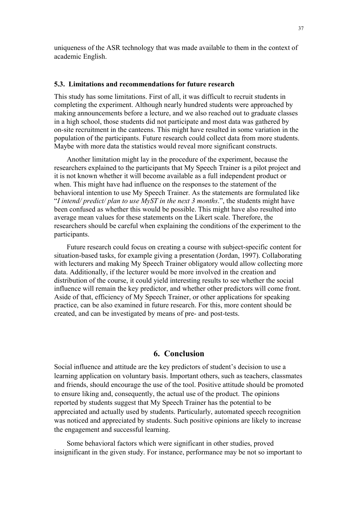uniqueness of the ASR technology that was made available to them in the context of academic English.

## **5.3. Limitations and recommendations for future research**

This study has some limitations. First of all, it was difficult to recruit students in completing the experiment. Although nearly hundred students were approached by making announcements before a lecture, and we also reached out to graduate classes in a high school, those students did not participate and most data was gathered by on-site recruitment in the canteens. This might have resulted in some variation in the population of the participants. Future research could collect data from more students. Maybe with more data the statistics would reveal more significant constructs.

Another limitation might lay in the procedure of the experiment, because the researchers explained to the participants that My Speech Trainer is a pilot project and it is not known whether it will become available as a full independent product or when. This might have had influence on the responses to the statement of the behavioral intention to use My Speech Trainer. As the statements are formulated like "*I intend/ predict/ plan to use MyST in the next 3 months*.", the students might have been confused as whether this would be possible. This might have also resulted into average mean values for these statements on the Likert scale. Therefore, the researchers should be careful when explaining the conditions of the experiment to the participants.

Future research could focus on creating a course with subject-specific content for situation-based tasks, for example giving a presentation (Jordan, 1997). Collaborating with lecturers and making My Speech Trainer obligatory would allow collecting more data. Additionally, if the lecturer would be more involved in the creation and distribution of the course, it could yield interesting results to see whether the social influence will remain the key predictor, and whether other predictors will come front. Aside of that, efficiency of My Speech Trainer, or other applications for speaking practice, can be also examined in future research. For this, more content should be created, and can be investigated by means of pre- and post-tests.

# **6. Conclusion**

Social influence and attitude are the key predictors of student's decision to use a learning application on voluntary basis. Important others, such as teachers, classmates and friends, should encourage the use of the tool. Positive attitude should be promoted to ensure liking and, consequently, the actual use of the product. The opinions reported by students suggest that My Speech Trainer has the potential to be appreciated and actually used by students. Particularly, automated speech recognition was noticed and appreciated by students. Such positive opinions are likely to increase the engagement and successful learning.

Some behavioral factors which were significant in other studies, proved insignificant in the given study. For instance, performance may be not so important to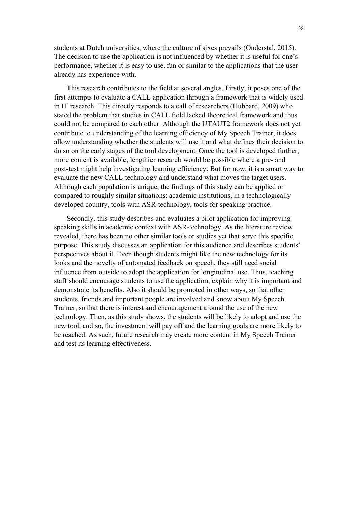students at Dutch universities, where the culture of sixes prevails (Onderstal, 2015). The decision to use the application is not influenced by whether it is useful for one's performance, whether it is easy to use, fun or similar to the applications that the user already has experience with.

This research contributes to the field at several angles. Firstly, it poses one of the first attempts to evaluate a CALL application through a framework that is widely used in IT research. This directly responds to a call of researchers (Hubbard, 2009) who stated the problem that studies in CALL field lacked theoretical framework and thus could not be compared to each other. Although the UTAUT2 framework does not yet contribute to understanding of the learning efficiency of My Speech Trainer, it does allow understanding whether the students will use it and what defines their decision to do so on the early stages of the tool development. Once the tool is developed further, more content is available, lengthier research would be possible where a pre- and post-test might help investigating learning efficiency. But for now, it is a smart way to evaluate the new CALL technology and understand what moves the target users. Although each population is unique, the findings of this study can be applied or compared to roughly similar situations: academic institutions, in a technologically developed country, tools with ASR-technology, tools for speaking practice.

Secondly, this study describes and evaluates a pilot application for improving speaking skills in academic context with ASR-technology. As the literature review revealed, there has been no other similar tools or studies yet that serve this specific purpose. This study discusses an application for this audience and describes students' perspectives about it. Even though students might like the new technology for its looks and the novelty of automated feedback on speech, they still need social influence from outside to adopt the application for longitudinal use. Thus, teaching staff should encourage students to use the application, explain why it is important and demonstrate its benefits. Also it should be promoted in other ways, so that other students, friends and important people are involved and know about My Speech Trainer, so that there is interest and encouragement around the use of the new technology. Then, as this study shows, the students will be likely to adopt and use the new tool, and so, the investment will pay off and the learning goals are more likely to be reached. As such, future research may create more content in My Speech Trainer and test its learning effectiveness.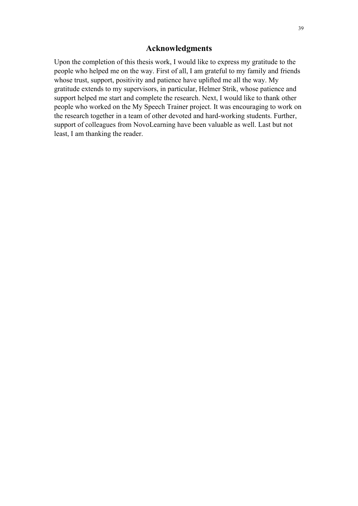# **Acknowledgments**

Upon the completion of this thesis work, I would like to express my gratitude to the people who helped me on the way. First of all, I am grateful to my family and friends whose trust, support, positivity and patience have uplifted me all the way. My gratitude extends to my supervisors, in particular, Helmer Strik, whose patience and support helped me start and complete the research. Next, I would like to thank other people who worked on the My Speech Trainer project. It was encouraging to work on the research together in a team of other devoted and hard-working students. Further, support of colleagues from NovoLearning have been valuable as well. Last but not least, I am thanking the reader.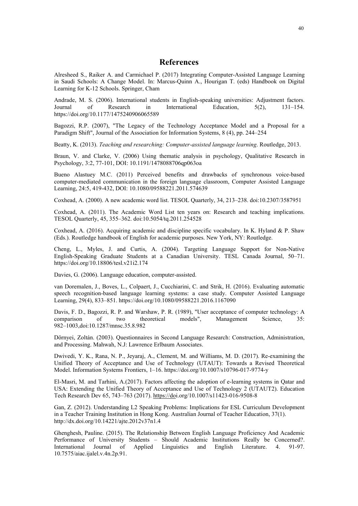## **References**

Alresheed S., Raiker A. and Carmichael P. (2017) Integrating Computer-Assisted Language Learning in Saudi Schools: A Change Model. In: Marcus-Quinn A., Hourigan T. (eds) Handbook on Digital Learning for K-12 Schools. Springer, Cham

Andrade, M. S. (2006). International students in English-speaking universities: Adjustment factors. Journal of Research in International Education, 5(2), 131–154. https://doi.org/10.1177/1475240906065589

Bagozzi, R.P. (2007), "The Legacy of the Technology Acceptance Model and a Proposal for a Paradigm Shift", Journal of the Association for Information Systems, 8 (4), pp. 244–254

Beatty, K. (2013). *Teaching and researching: Computer-assisted language learning*. Routledge, 2013.

Braun, V. and Clarke, V. (2006) Using thematic analysis in psychology, Qualitative Research in Psychology, 3:2, 77-101, DOI: 10.1191/1478088706qp063oa

Bueno Alastuey M.C. (2011) Perceived benefits and drawbacks of synchronous voice-based computer-mediated communication in the foreign language classroom, Computer Assisted Language Learning, 24:5, 419-432, DOI: 10.1080/09588221.2011.574639

Coxhead, A. (2000). A new academic word list. TESOL Quarterly, 34, 213–238. doi:10.2307/3587951

Coxhead, A. (2011). The Academic Word List ten years on: Research and teaching implications. TESOL Quarterly, 45, 355–362. doi:10.5054/tq.2011.254528

Coxhead, A. (2016). Acquiring academic and discipline specific vocabulary. In K. Hyland & P. Shaw (Eds.). Routledge handbook of English for academic purposes. New York, NY: Routledge.

Cheng, L., Myles, J. and Curtis, A. (2004). Targeting Language Support for Non-Native English-Speaking Graduate Students at a Canadian University. TESL Canada Journal, 50–71. https://doi.org/10.18806/tesl.v21i2.174

Davies, G. (2006). Language education, computer-assisted.

van Doremalen, J., Boves, L., Colpaert, J., Cucchiarini, C. and Strik, H. (2016). Evaluating automatic speech recognition-based language learning systems: a case study. Computer Assisted Language Learning, 29(4), 833–851. https://doi.org/10.1080/09588221.2016.1167090

Davis, F. D., Bagozzi, R. P. and Warshaw, P. R. (1989), "User acceptance of computer technology: A comparison of two theoretical models", Management Science, 35: comparison of two theoretical models", Management Science, 35: 982–1003,doi:10.1287/mnsc.35.8.982

Dörnyei, Zoltán. (2003). Questionnaires in Second Language Research: Construction, Administration, and Processing. Mahwah, N.J: Lawrence Erlbaum Associates.

Dwivedi, Y. K., Rana, N. P., Jeyaraj, A., Clement, M. and Williams, M. D. (2017). Re-examining the Unified Theory of Acceptance and Use of Technology (UTAUT): Towards a Revised Theoretical Model. Information Systems Frontiers, 1–16. https://doi.org/10.1007/s10796-017-9774-y

El-Masri, M. and Tarhini, A.(2017). Factors affecting the adoption of e-learning systems in Qatar and USA: Extending the Unified Theory of Acceptance and Use of Technology 2 (UTAUT2). Education Tech Research Dev 65, 743–763 (2017). https://doi.org/10.1007/s11423-016-9508-8

Gan, Z. (2012). Understanding L2 Speaking Problems: Implications for ESL Curriculum Development in a Teacher Training Institution in Hong Kong. Australian Journal of Teacher Education, 37(1). http://dx.doi.org/10.14221/ajte.2012v37n1.4

Ghenghesh, Pauline. (2015). The Relationship Between English Language Proficiency And Academic Performance of University Students – Should Academic Institutions Really be Concerned?. International Journal of Applied Linguistics and English Literature. 4. 91-97. 10.7575/aiac.ijalel.v.4n.2p.91.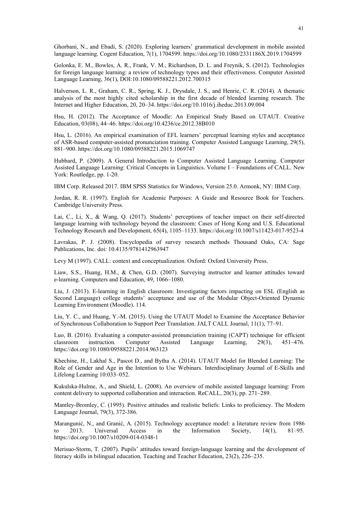Ghorbani, N., and Ebadi, S. (2020). Exploring learners' grammatical development in mobile assisted language learning. Cogent Education, 7(1), 1704599. https://doi.org/10.1080/2331186X.2019.1704599

Golonka, E. M., Bowles, A. R., Frank, V. M., Richardson, D. L. and Freynik, S. (2012). Technologies for foreign language learning: a review of technology types and their effectiveness. Computer Assisted Language Learning, 36(1), DOI:10.1080/09588221.2012.700315

Halverson, L. R., Graham, C. R., Spring, K. J., Drysdale, J. S., and Henrie, C. R. (2014). A thematic analysis of the most highly cited scholarship in the first decade of blended learning research. The Internet and Higher Education, 20, 20–34. https://doi.org/10.1016/j.iheduc.2013.09.004

Hsu, H. (2012). The Acceptance of Moodle: An Empirical Study Based on UTAUT. Creative Education, 03(08), 44–46. https://doi.org/10.4236/ce.2012.38B010

Hsu, L. (2016). An empirical examination of EFL learners' perceptual learning styles and acceptance of ASR-based computer-assisted pronunciation training. Computer Assisted Language Learning, 29(5), 881–900. https://doi.org/10.1080/09588221.2015.1069747

Hubbard, P. (2009). A General Introduction to Computer Assisted Language Learning. Computer Assisted Language Learning: Critical Concepts in Linguistics. Volume I – Foundations of CALL. New York: Routledge, pp. 1-20.

IBM Corp. Released 2017. IBM SPSS Statistics for Windows, Version 25.0. Armonk, NY: IBM Corp.

Jordan, R. R. (1997). English for Academic Purposes: A Guide and Resource Book for Teachers. Cambridge University Press.

Lai, C., Li, X., & Wang, Q. (2017). Students' perceptions of teacher impact on their self-directed language learning with technology beyond the classroom: Cases of Hong Kong and U.S. Educational Technology Research and Development, 65(4), 1105–1133. https://doi.org/10.1007/s11423-017-9523-4

Lavrakas, P. J. (2008). Encyclopedia of survey research methods Thousand Oaks, CA: Sage Publications, Inc. doi: 10.4135/9781412963947

Levy M (1997). CALL: context and conceptualization. Oxford: Oxford University Press.

Liaw, S.S., Huang, H.M., & Chen, G.D. (2007). Surveying instructor and learner attitudes toward e-learning. Computers and Education, 49, 1066–1080.

Liu, J. (2013). E-learning in English classroom: Investigating factors impacting on ESL (English as Second Language) college students' acceptance and use of the Modular Object-Oriented Dynamic Learning Environment (Moodle). 114.

Liu, Y. C., and Huang, Y.-M. (2015). Using the UTAUT Model to Examine the Acceptance Behavior of Synchronous Collaboration to Support Peer Translation. JALT CALL Journal, 11(1), 77–91.

Luo, B. (2016). Evaluating a computer-assisted pronunciation training (CAPT) technique for efficient classroom instruction. Computer Assisted Language Learning, 29(3), 451–476. https://doi.org/10.1080/09588221.2014.963123

Khechine, H., Lakhal S., Pascot D., and Bytha A. (2014). UTAUT Model for Blended Learning: The Role of Gender and Age in the Intention to Use Webinars. Interdisciplinary Journal of E-Skills and Lifelong Learning 10:033–052.

Kukulska-Hulme, A., and Shield, L. (2008). An overview of mobile assisted language learning: From content delivery to supported collaboration and interaction. ReCALL, 20(3), pp. 271–289.

Mantley-Bromley, C. (1995). Positive attitudes and realistic beliefs: Links to proficiency. The Modern Language Journal, 79(3), 372-386.

Marangunić, N., and Granić, A. (2015). Technology acceptance model: a literature review from 1986 to 2013. Universal Access in the Information Society, 14(1), 81–95. https://doi.org/10.1007/s10209-014-0348-1

Merisuo-Storm, T. (2007). Pupils' attitudes toward foreign-language learning and the development of literacy skills in bilingual education. Teaching and Teacher Education, 23(2), 226–235.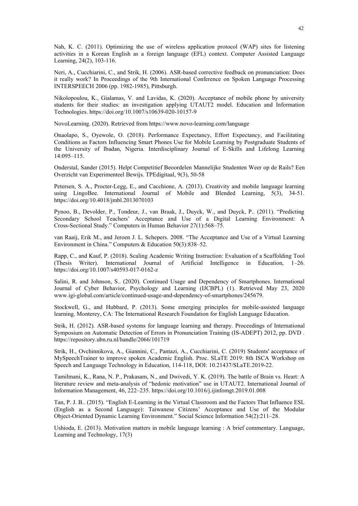Nah, K. C. (2011). Optimizing the use of wireless application protocol (WAP) sites for listening activities in a Korean English as a foreign language (EFL) context. Computer Assisted Language Learning, 24(2), 103-116.

Neri, A., Cucchiarini, C., and Strik, H. (2006). ASR-based corrective feedback on pronunciation: Does it really work? In Proceedings of the 9th International Conference on Spoken Language Processing INTERSPEECH 2006 (pp. 1982-1985), Pittsburgh.

Nikolopoulou, K., Gialamas, V. and Lavidas, K. (2020). Acceptance of mobile phone by university students for their studies: an investigation applying UTAUT2 model. Education and Information Technologies. https://doi.org/10.1007/s10639-020-10157-9

NovoLearning. (2020). Retrieved from https://www.novo-learning.com/language

Onaolapo, S., Oyewole, O. (2018). Performance Expectancy, Effort Expectancy, and Facilitating Conditions as Factors Influencing Smart Phones Use for Mobile Learning by Postgraduate Students of the University of Ibadan, Nigeria. Interdisciplinary Journal of E-Skills and Lifelong Learning 14:095–115.

Onderstal, Sander (2015). Helpt Competitief Beoordelen Mannelijke Studenten Weer op de Rails? Een Overzicht van Experimenteel Bewijs. TPEdigitaal, 9(3), 50-58

Petersen, S. A., Procter-Legg, E., and Cacchione, A. (2013). Creativity and mobile language learning using LingoBee. International Journal of Mobile and Blended Learning, 5(3), 34-51. https://doi.org/10.4018/jmbl.2013070103

Pynoo, B., Devolder, P., Tondeur, J., van Braak, J., Duyck, W., and Duyck, P.. (2011). "Predicting Secondary School Teachers' Acceptance and Use of a Digital Learning Environment: A Cross-Sectional Study." Computers in Human Behavior 27(1):568–75.

van Raaij, Erik M., and Jeroen J. L. Schepers. 2008. "The Acceptance and Use of a Virtual Learning Environment in China." Computers & Education 50(3):838–52.

Rapp, C., and Kauf, P. (2018). Scaling Academic Writing Instruction: Evaluation of a Scaffolding Tool (Thesis Writer). International Journal of Artificial Intelligence in Education, 1–26. https://doi.org/10.1007/s40593-017-0162-z

Salini, R. and Johnson, S.. (2020). Continued Usage and Dependency of Smartphones. International Journal of Cyber Behavior, Psychology and Learning (IJCBPL) (1). Retrieved May 23, 2020 www.igi-global.com/article/continued-usage-and-dependency-of-smartphones/245679.

Stockwell, G., and Hubbard, P. (2013). Some emerging principles for mobile-assisted language learning. Monterey, CA: The International Research Foundation for English Language Education.

Strik, H. (2012). ASR-based systems for language learning and therapy. Proceedings of International Symposium on Automatic Detection of Errors in Pronunciation Training (IS-ADEPT) 2012, pp. DVD . https://repository.ubn.ru.nl/handle/2066/101719

Strik, H., Ovchinnikova, A., Giannini, C., Pantazi, A., Cucchiarini, C. (2019) Students' acceptance of MySpeechTrainer to improve spoken Academic English. Proc. SLaTE 2019: 8th ISCA Workshop on Speech and Language Technology in Education, 114-118, DOI: 10.21437/SLaTE.2019-22.

Tamilmani, K., Rana, N. P., Prakasam, N., and Dwivedi, Y. K. (2019). The battle of Brain vs. Heart: A literature review and meta-analysis of "hedonic motivation" use in UTAUT2. International Journal of Information Management, 46, 222–235. https://doi.org/10.1016/j.ijinfomgt.2019.01.008

Tan, P. J. B.. (2015). "English E-Learning in the Virtual Classroom and the Factors That Influence ESL (English as a Second Language): Taiwanese Citizens' Acceptance and Use of the Modular Object-Oriented Dynamic Learning Environment." Social Science Information 54(2):211–28.

Ushioda, E. (2013). Motivation matters in mobile language learning : A brief commentary. Language, Learning and Technology, 17(3)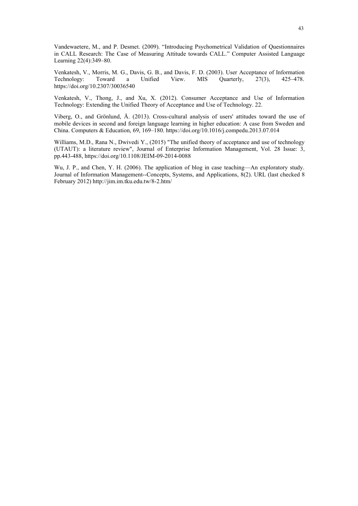Vandewaetere, M., and P. Desmet. (2009). "Introducing Psychometrical Validation of Questionnaires in CALL Research: The Case of Measuring Attitude towards CALL." Computer Assisted Language Learning 22(4):349–80.

Venkatesh, V., Morris, M. G., Davis, G. B., and Davis, F. D. (2003). User Acceptance of Information Technology: Toward a Unified View. MIS Quarterly, 27(3), 425–478. https://doi.org/10.2307/30036540

Venkatesh, V., Thong, J., and Xu, X. (2012). Consumer Acceptance and Use of Information Technology: Extending the Unified Theory of Acceptance and Use of Technology. 22.

Viberg, O., and Grönlund, Å. (2013). Cross-cultural analysis of users' attitudes toward the use of mobile devices in second and foreign language learning in higher education: A case from Sweden and China. Computers & Education, 69, 169–180. https://doi.org/10.1016/j.compedu.2013.07.014

Williams, M.D., Rana N., Dwivedi Y., (2015) "The unified theory of acceptance and use of technology (UTAUT): a literature review", Journal of Enterprise Information Management, Vol. 28 Issue: 3, pp.443-488, https://doi.org/10.1108/JEIM-09-2014-0088

Wu, J. P., and Chen, Y. H. (2006). The application of blog in case teaching—An exploratory study. Journal of Information Management--Concepts, Systems, and Applications, 8(2). URL (last checked 8 February 2012) http://jim.im.tku.edu.tw/8-2.htm/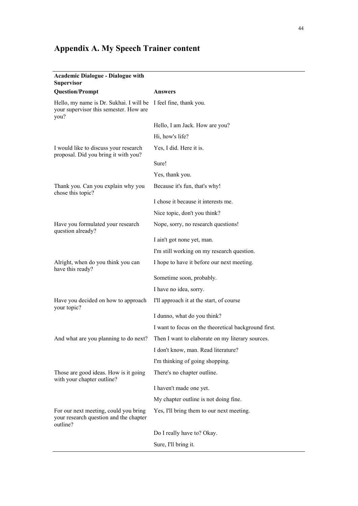# **Appendix A. My Speech Trainer content**

| <b>Academic Dialogue - Dialogue with</b><br><b>Supervisor</b>                                                     |                                                                                        |
|-------------------------------------------------------------------------------------------------------------------|----------------------------------------------------------------------------------------|
| <b>Question/Prompt</b>                                                                                            | <b>Answers</b>                                                                         |
| Hello, my name is Dr. Sukhai. I will be I feel fine, thank you.<br>your supervisor this semester. How are<br>you? |                                                                                        |
|                                                                                                                   | Hello, I am Jack. How are you?                                                         |
|                                                                                                                   | Hi, how's life?                                                                        |
| I would like to discuss your research<br>proposal. Did you bring it with you?                                     | Yes, I did. Here it is.                                                                |
|                                                                                                                   | Sure!                                                                                  |
|                                                                                                                   | Yes, thank you.                                                                        |
| Thank you. Can you explain why you<br>chose this topic?                                                           | Because it's fun, that's why!                                                          |
|                                                                                                                   | I chose it because it interests me.                                                    |
|                                                                                                                   | Nice topic, don't you think?                                                           |
| Have you formulated your research<br>question already?                                                            | Nope, sorry, no research questions!                                                    |
|                                                                                                                   | I ain't got none yet, man.                                                             |
|                                                                                                                   | I'm still working on my research question.                                             |
| Alright, when do you think you can<br>have this ready?                                                            | I hope to have it before our next meeting.                                             |
|                                                                                                                   | Sometime soon, probably.                                                               |
|                                                                                                                   | I have no idea, sorry.                                                                 |
| Have you decided on how to approach<br>your topic?                                                                | I'll approach it at the start, of course                                               |
|                                                                                                                   | I dunno, what do you think?                                                            |
|                                                                                                                   | I want to focus on the theoretical background first.                                   |
|                                                                                                                   | And what are you planning to do next? Then I want to elaborate on my literary sources. |
|                                                                                                                   | I don't know, man. Read literature?                                                    |
|                                                                                                                   | I'm thinking of going shopping.                                                        |
| Those are good ideas. How is it going<br>with your chapter outline?                                               | There's no chapter outline.                                                            |
|                                                                                                                   | I haven't made one yet.                                                                |
|                                                                                                                   | My chapter outline is not doing fine.                                                  |
| For our next meeting, could you bring<br>your research question and the chapter<br>outline?                       | Yes, I'll bring them to our next meeting.                                              |
|                                                                                                                   | Do I really have to? Okay.                                                             |
|                                                                                                                   | Sure, I'll bring it.                                                                   |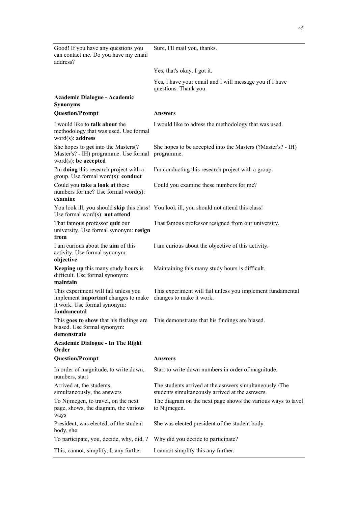| Good! If you have any questions you<br>can contact me. Do you have my email<br>address?                                    | Sure, I'll mail you, thanks.                                                                               |
|----------------------------------------------------------------------------------------------------------------------------|------------------------------------------------------------------------------------------------------------|
|                                                                                                                            | Yes, that's okay. I got it.                                                                                |
|                                                                                                                            | Yes, I have your email and I will message you if I have<br>questions. Thank you.                           |
| <b>Academic Dialogue - Academic</b><br><b>Synonyms</b>                                                                     |                                                                                                            |
| <b>Question/Prompt</b>                                                                                                     | <b>Answers</b>                                                                                             |
| I would like to <b>talk about</b> the<br>methodology that was used. Use formal<br>word(s): address                         | I would like to adress the methodology that was used.                                                      |
| She hopes to <b>get</b> into the Masters(?<br>Master's? - IH) programme. Use formal<br>$word(s)$ : be accepted             | She hopes to be accepted into the Masters (?Master's? - IH)<br>programme.                                  |
| I'm doing this research project with a<br>group. Use formal word(s): conduct                                               | I'm conducting this research project with a group.                                                         |
| Could you take a look at these<br>numbers for me? Use formal word(s):<br>examine                                           | Could you examine these numbers for me?                                                                    |
| Use formal word $(s)$ : not attend                                                                                         | You look ill, you should skip this class! You look ill, you should not attend this class!                  |
| That famous professor quit our<br>university. Use formal synonym: resign<br>from                                           | That famous professor resigned from our university.                                                        |
| I am curious about the aim of this<br>activity. Use formal synonym:<br>objective                                           | I am curious about the objective of this activity.                                                         |
| Keeping up this many study hours is<br>difficult. Use formal synonym:<br>maintain                                          | Maintaining this many study hours is difficult.                                                            |
| This experiment will fail unless you<br>implement important changes to make<br>it work. Use formal synonym:<br>fundamental | This experiment will fail unless you implement fundamental<br>changes to make it work.                     |
| This goes to show that his findings are<br>biased. Use formal synonym:<br>demonstrate                                      | This demonstrates that his findings are biased.                                                            |
| <b>Academic Dialogue - In The Right</b><br>Order                                                                           |                                                                                                            |
| <b>Question/Prompt</b>                                                                                                     | <b>Answers</b>                                                                                             |
| In order of magnitude, to write down,<br>numbers, start                                                                    | Start to write down numbers in order of magnitude.                                                         |
| Arrived at, the students,<br>simultaneously, the answers                                                                   | The students arrived at the asnwers simultaneously./The<br>students simultaneously arrived at the asnwers. |
| To Nijmegen, to travel, on the next<br>page, shows, the diagram, the various<br>ways                                       | The diagram on the next page shows the various ways to tavel<br>to Nijmegen.                               |
| President, was elected, of the student<br>body, she                                                                        | She was elected president of the student body.                                                             |
| To participate, you, decide, why, did, ?                                                                                   | Why did you decide to participate?                                                                         |
| This, cannot, simplify, I, any further                                                                                     | I cannot simplify this any further.                                                                        |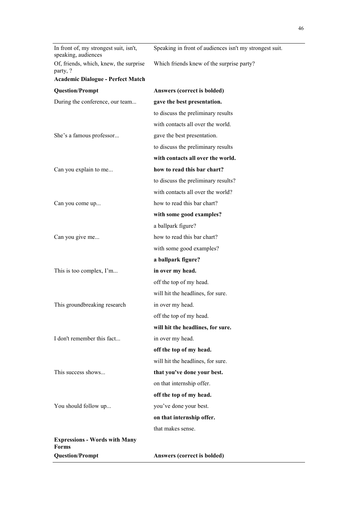| In front of, my strongest suit, isn't,<br>speaking, audiences | Speaking in front of audiences isn't my strongest suit. |
|---------------------------------------------------------------|---------------------------------------------------------|
| Of, friends, which, knew, the surprise<br>party, ?            | Which friends knew of the surprise party?               |
| <b>Academic Dialogue - Perfect Match</b>                      |                                                         |
| <b>Question/Prompt</b>                                        | Answers (correct is bolded)                             |
| During the conference, our team                               | gave the best presentation.                             |
|                                                               | to discuss the preliminary results                      |
|                                                               | with contacts all over the world.                       |
| She's a famous professor                                      | gave the best presentation.                             |
|                                                               | to discuss the preliminary results                      |
|                                                               | with contacts all over the world.                       |
| Can you explain to me                                         | how to read this bar chart?                             |
|                                                               | to discuss the preliminary results?                     |
|                                                               | with contacts all over the world?                       |
| Can you come up                                               | how to read this bar chart?                             |
|                                                               | with some good examples?                                |
|                                                               | a ballpark figure?                                      |
| Can you give me                                               | how to read this bar chart?                             |
|                                                               | with some good examples?                                |
|                                                               | a ballpark figure?                                      |
| This is too complex, I'm                                      | in over my head.                                        |
|                                                               | off the top of my head.                                 |
|                                                               | will hit the headlines, for sure.                       |
| This groundbreaking research                                  | in over my head.                                        |
|                                                               | off the top of my head.                                 |
|                                                               | will hit the headlines, for sure.                       |
| I don't remember this fact                                    | in over my head.                                        |
|                                                               | off the top of my head.                                 |
|                                                               | will hit the headlines, for sure.                       |
| This success shows                                            | that you've done your best.                             |
|                                                               | on that internship offer.                               |
|                                                               | off the top of my head.                                 |
| You should follow up                                          | you've done your best.                                  |
|                                                               | on that internship offer.                               |
|                                                               | that makes sense.                                       |
| <b>Expressions - Words with Many</b><br>Forms                 |                                                         |
| <b>Question/Prompt</b>                                        | Answers (correct is bolded)                             |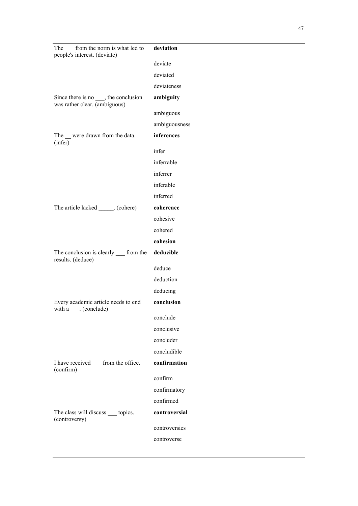| The ____ from the norm is what led to<br>people's interest. (deviate)        | deviation     |
|------------------------------------------------------------------------------|---------------|
|                                                                              | deviate       |
|                                                                              | deviated      |
|                                                                              | deviateness   |
| Since there is no $\_\_\_$ , the conclusion<br>was rather clear. (ambiguous) | ambiguity     |
|                                                                              | ambiguous     |
|                                                                              | ambiguousness |
| The __ were drawn from the data.<br>(infer)                                  | inferences    |
|                                                                              | infer         |
|                                                                              | inferrable    |
|                                                                              | inferrer      |
|                                                                              | inferable     |
|                                                                              | inferred      |
| The article lacked ______. (cohere)                                          | coherence     |
|                                                                              | cohesive      |
|                                                                              | cohered       |
|                                                                              | cohesion      |
| The conclusion is clearly __ from the<br>results. (deduce)                   | deducible     |
|                                                                              | deduce        |
|                                                                              | deduction     |
|                                                                              | deducing      |
| Every academic article needs to end<br>with a $\qquad$ . (conclude)          | conclusion    |
|                                                                              | conclude      |
|                                                                              | conclusive    |
|                                                                              | concluder     |
|                                                                              | concludible   |
| I have received __ from the office.<br>(confirm)                             | confirmation  |
|                                                                              | confirm       |
|                                                                              | confirmatory  |
|                                                                              | confirmed     |
| The class will discuss ___ topics.<br>(controversy)                          | controversial |
|                                                                              | controversies |
|                                                                              | controverse   |
|                                                                              |               |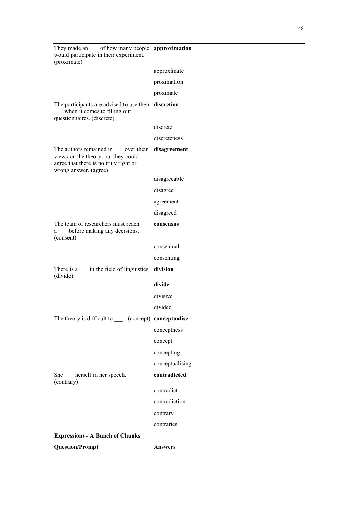| They made an ____ of how many people approximation<br>would participate in their experiment.<br>(proximate)                                 |                 |
|---------------------------------------------------------------------------------------------------------------------------------------------|-----------------|
|                                                                                                                                             | approximate     |
|                                                                                                                                             | proximation     |
|                                                                                                                                             | proximate       |
| The participants are advised to use their discretion<br>when it comes to filling out<br>questionnaires. (discrete)                          |                 |
|                                                                                                                                             | discrete        |
|                                                                                                                                             | discreteness    |
| The authors remained in over their<br>views on the theory, but they could<br>agree that there is no truly right or<br>wrong answer. (agree) | disagreement    |
|                                                                                                                                             | disagreeable    |
|                                                                                                                                             | disagree        |
|                                                                                                                                             | agreement       |
|                                                                                                                                             | disagreed       |
| The team of researchers must reach<br>a before making any decisions.<br>(consent)                                                           | consensus       |
|                                                                                                                                             | consentual      |
|                                                                                                                                             | consenting      |
| There is a ___ in the field of linguistics. division<br>(divide)                                                                            |                 |
|                                                                                                                                             | divide          |
|                                                                                                                                             | divisive        |
|                                                                                                                                             | divided         |
| The theory is difficult to _____. (concept) conceptualise                                                                                   |                 |
|                                                                                                                                             | conceptness     |
|                                                                                                                                             | concept         |
|                                                                                                                                             | concepting      |
|                                                                                                                                             | conceptualising |
| She herself in her speech.<br>(contrary)                                                                                                    | contradicted    |
|                                                                                                                                             | contradict      |
|                                                                                                                                             | contradiction   |
|                                                                                                                                             | contrary        |
|                                                                                                                                             | contraries      |
| <b>Expressions - A Bunch of Chunks</b>                                                                                                      |                 |
| <b>Question/Prompt</b>                                                                                                                      | <b>Answers</b>  |

 $\overline{a}$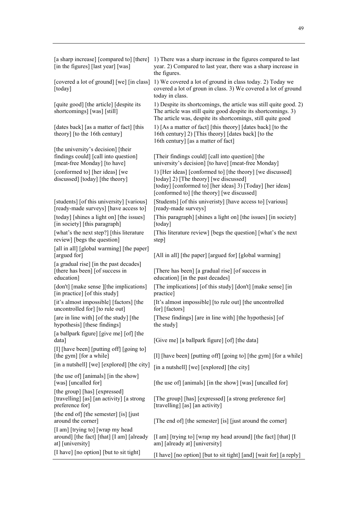| [a sharp increase] [compared to] [there]<br>[in the figures] [last year] [was]                             | 1) There was a sharp increase in the figures compared to last<br>year. 2) Compared to last year, there was a sharp increase in<br>the figures.                                                                 |
|------------------------------------------------------------------------------------------------------------|----------------------------------------------------------------------------------------------------------------------------------------------------------------------------------------------------------------|
| [covered a lot of ground] [we] [in class]<br>[today]                                                       | 1) We covered a lot of ground in class today. 2) Today we<br>covered a lot of groun in class. 3) We covered a lot of ground<br>today in class.                                                                 |
| [quite good] [the article] [despite its]<br>shortcomings] [was] [still]                                    | 1) Despite its shortcomings, the article was still quite good. 2)<br>The article was still quite good despite its shortcomings. 3)<br>The article was, despite its shortcomings, still quite good              |
| [dates back] [as a matter of fact] [this<br>theory] [to the 16th century]                                  | 1) [As a matter of fact] [this theory] [dates back] [to the<br>16th century] 2) [This theory] [dates back] [to the<br>16th century] [as a matter of fact]                                                      |
| [the university's decision] [their<br>findings could] [call into question]<br>[meat-free Monday] [to have] | [Their findings could] [call into question] [the<br>university's decision] [to have] [meat-free Monday]                                                                                                        |
| [conformed to] [her ideas] [we<br>discussed] [today] [the theory]                                          | 1) [Her ideas] [conformed to] [the theory] [we discussed]<br>[today] 2) [The theory] [we discussed]<br>[today] [conformed to] [her ideas] 3) [Today] [her ideas]<br>[conformed to] [the theory] [we discussed] |
| [students] [of this university] [various]<br>[ready-made surveys] [have access to]                         | [Students] [of this univeristy] [have access to] [various]<br>[ready-made surveys]                                                                                                                             |
| [today] [shines a light on] [the issues]<br>[in society] [this paragraph]                                  | [This paragraph] [shines a light on] [the issues] [in society]<br>[today]                                                                                                                                      |
| [what's the next step?] [this literature<br>review] [begs the question]                                    | [This literature review] [begs the question] [what's the next]<br>step]                                                                                                                                        |
| [all in all] [global warming] [the paper]<br>[argued for]                                                  | [All in all] [the paper] [argued for] [global warming]                                                                                                                                                         |
| [a gradual rise] [in the past decades]<br>[there has been] [of success in<br>education]                    | [There has been] [a gradual rise] [of success in<br>education] [in the past decades]                                                                                                                           |
| [don't] [make sense ][the implications]<br>[in practice] [of this study]                                   | [The implications] [of this study] [don't] [make sense] [in]<br>practice]                                                                                                                                      |
| [it's almost impossible] [factors] [the<br>uncontrolled for] [to rule out]                                 | [It's almost impossible] [to rule out] [the uncontrolled]<br>for] [factors]                                                                                                                                    |
| [are in line with] [of the study] [the<br>hypothesis] [these findings]                                     | [These findings] [are in line with] [the hypothesis] [of<br>the study]                                                                                                                                         |
| [a ballpark figure] [give me] [of] [the<br>data]                                                           | [Give me] [a ballpark figure] [of] [the data]                                                                                                                                                                  |
| [I] [have been] [putting off] [going to]<br>[the gym] [for a while]                                        | [I] [have been] [putting off] [going to] [the gym] [for a while]                                                                                                                                               |
| [in a nutshell] [we] [explored] [the city]                                                                 | [in a nutshell] [we] [explored] [the city]                                                                                                                                                                     |
| [the use of] [animals] [in the show]<br>[was] [uncalled for]                                               | [the use of] [animals] [in the show] [was] [uncalled for]                                                                                                                                                      |
| [the group] [has] [expressed]<br>[travelling] [as] [an activity] [a strong<br>preference for]              | [The group] [has] [expressed] [a strong preference for]<br>[travelling] [as] [an activity]                                                                                                                     |
| [the end of] [the semester] [is] [just]<br>around the corner]                                              | [The end of] [the semester] [is] [just around the corner]                                                                                                                                                      |
| [I am] [trying to] [wrap my head<br>around] [the fact] [that] [I am] [already<br>at] [university]          | [I am] [trying to] [wrap my head around] [the fact] [that] [I]<br>am] [already at] [university]                                                                                                                |
| [I have] [no option] [but to sit tight]                                                                    | [I have] [no option] [but to sit tight] [and] [wait for] [a reply]                                                                                                                                             |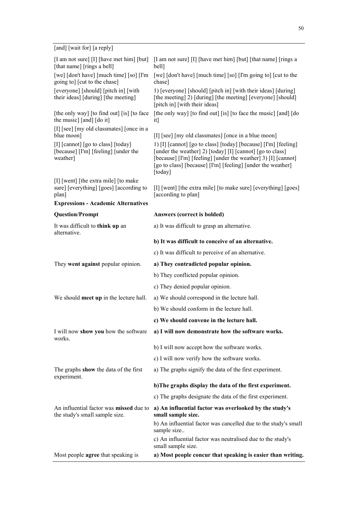| [I am not sure] [I] [have met him] [but]<br>[that name] [rings a bell]                    | [I am not sure] [I] [have met him] [but] [that name] [rings a<br>bell]                                                                                                                                                                                                  |
|-------------------------------------------------------------------------------------------|-------------------------------------------------------------------------------------------------------------------------------------------------------------------------------------------------------------------------------------------------------------------------|
| [we] [don't have] [much time] [so] [I'm<br>going to] [cut to the chase]                   | [we] [don't have] [much time] [so] [I'm going to] [cut to the<br>chase]                                                                                                                                                                                                 |
| [everyone] [should] [pitch in] [with]<br>their ideas] [during] [the meeting]              | 1) [everyone] [should] [pitch in] [with their ideas] [during]<br>[the meeting] 2) [during] [the meeting] [everyone] [should]<br>[pitch in] [with their ideas]                                                                                                           |
| [the only way] [to find out] [is] [to face]<br>the music] [and] [do it]                   | [the only way] [to find out] [is] [to face the music] [and] [do<br>it]                                                                                                                                                                                                  |
| [I] [see] [my old classmates] [once in a<br>blue moon]                                    | [I] [see] [my old classmates] [once in a blue moon]                                                                                                                                                                                                                     |
| [I] [cannot] [go to class] [today]<br>[because] [I'm] [feeling] [under the<br>weather]    | 1) [I] [cannot] [go to class] [today] [because] [I'm] [feeling]<br>[under the weather] 2) [today] [I] [cannot] [go to class]<br>[because] [I'm] [feeling] [under the weather] 3) [I] [cannot]<br>[go to class] [because] [I'm] [feeling] [under the weather]<br>[today] |
| [I] [went] [the extra mile] [to make]<br>sure] [everything] [goes] [according to<br>plan] | [I] [went] [the extra mile] [to make sure] [everything] [goes]<br>[according to plan]                                                                                                                                                                                   |
| <b>Expressions - Academic Alternatives</b>                                                |                                                                                                                                                                                                                                                                         |
| <b>Question/Prompt</b>                                                                    | Answers (correct is bolded)                                                                                                                                                                                                                                             |
| It was difficult to think up an<br>alternative.                                           | a) It was difficult to grasp an alternative.                                                                                                                                                                                                                            |
|                                                                                           | b) It was difficult to conceive of an alternative.                                                                                                                                                                                                                      |
|                                                                                           | c) It was difficult to perceive of an alternative.                                                                                                                                                                                                                      |
| They went against popular opinion.                                                        | a) They contradicted popular opinion.                                                                                                                                                                                                                                   |
|                                                                                           | b) They conflicted popular opinion.                                                                                                                                                                                                                                     |
|                                                                                           | c) They denied popular opinion.                                                                                                                                                                                                                                         |
| We should meet up in the lecture hall.                                                    | a) We should correspond in the lecture hall.                                                                                                                                                                                                                            |
|                                                                                           | b) We should conform in the lecture hall.                                                                                                                                                                                                                               |
|                                                                                           | c) We should convene in the lecture hall.                                                                                                                                                                                                                               |
| I will now show you how the software<br>works.                                            | a) I will now demonstrate how the software works.                                                                                                                                                                                                                       |
|                                                                                           | b) I will now accept how the software works.                                                                                                                                                                                                                            |
|                                                                                           | c) I will now verify how the software works.                                                                                                                                                                                                                            |
| The graphs show the data of the first<br>experiment.                                      | a) The graphs signify the data of the first experiment.                                                                                                                                                                                                                 |
|                                                                                           | b) The graphs display the data of the first experiment.                                                                                                                                                                                                                 |
|                                                                                           | c) The graphs designate the data of the first experiment.                                                                                                                                                                                                               |
| An influential factor was missed due to<br>the study's small sample size.                 | a) An influential factor was overlooked by the study's<br>small sample size.                                                                                                                                                                                            |
|                                                                                           | b) An influential factor was cancelled due to the study's small<br>sample size                                                                                                                                                                                          |
|                                                                                           | c) An influential factor was neutralised due to the study's<br>small sample size.                                                                                                                                                                                       |
| Most people agree that speaking is                                                        | a) Most people concur that speaking is easier than writing.                                                                                                                                                                                                             |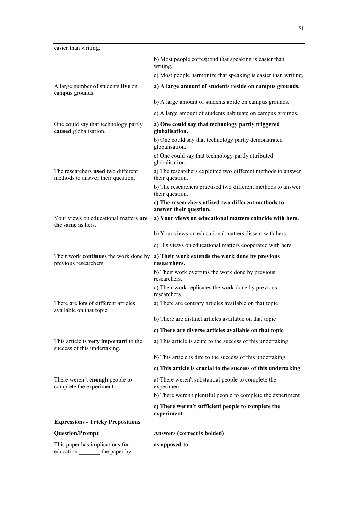| easier than writing.                                                    |                                                                                 |
|-------------------------------------------------------------------------|---------------------------------------------------------------------------------|
|                                                                         | b) Most people correspond that speaking is easier than<br>writing.              |
|                                                                         | c) Most people harmonize that speaking is easier than writing.                  |
| A large number of students live on<br>campus grounds.                   | a) A large amount of students reside on campus grounds.                         |
|                                                                         | b) A large amount of students abide on campus grounds.                          |
|                                                                         | c) A large amount of students habituate on campus grounds.                      |
| One could say that technology partly<br>caused globalisation.           | a) One could say that technology partly triggered<br>globalisation.             |
|                                                                         | b) One could say that technology partly demonstrated<br>globalisation.          |
|                                                                         | c) One could say that technology partly attributed<br>globalisation.            |
| The researchers used two different<br>methods to answer their question. | a) The researchers exploited two different methods to answer<br>their question. |
|                                                                         | b) The researchers practised two different methods to answer<br>their question. |
|                                                                         | c) The researchers utlised two different methods to<br>answer their question.   |
| Your views on educational matters are<br>the same as hers.              | a) Your views on educational matters coincide with hers.                        |
|                                                                         | b) Your views on educational matters dissent with hers.                         |
|                                                                         | c) His views on educational matters cooperated with hers.                       |
| Their work <b>continues</b> the work done by<br>previous researchers.   | a) Their work extends the work done by previous<br>researchers.                 |
|                                                                         | b) Their work overruns the work done by previous<br>researchers.                |
|                                                                         | c) Their work replicates the work done by previous<br>researchers.              |
| There are lots of different articles<br>available on that topic.        | a) There are contrary articles available on that topic                          |
|                                                                         | b) There are distinct articles available on that topic                          |
|                                                                         | c) There are diverse articles available on that topic                           |
| This article is very important to the<br>success of this undertaking.   | a) This article is acute to the success of this undertaking                     |
|                                                                         | b) This article is dire to the success of this undertaking                      |
|                                                                         | c) This article is crucial to the success of this undertaking                   |
| There weren't <b>enough</b> people to<br>complete the experiment.       | a) There weren't substantial people to complete the<br>experiment               |
|                                                                         | b) There weren't plentiful people to complete the experiment                    |
|                                                                         | c) There weren't sufficient people to complete the<br>experiment                |
| <b>Expressions - Tricky Prepositions</b>                                |                                                                                 |
| <b>Question/Prompt</b>                                                  | Answers (correct is bolded)                                                     |
| This paper has implications for<br>education<br>the paper by            | as opposed to                                                                   |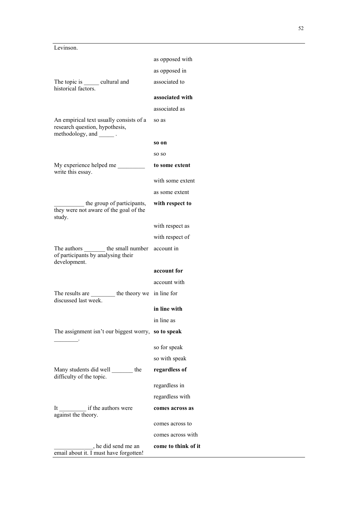|                                                                                                                                                                                                                                                                                                                                                                                                                                                                                                 | as opposed with     |
|-------------------------------------------------------------------------------------------------------------------------------------------------------------------------------------------------------------------------------------------------------------------------------------------------------------------------------------------------------------------------------------------------------------------------------------------------------------------------------------------------|---------------------|
|                                                                                                                                                                                                                                                                                                                                                                                                                                                                                                 | as opposed in       |
| The topic is ______ cultural and<br>historical factors.                                                                                                                                                                                                                                                                                                                                                                                                                                         | associated to       |
|                                                                                                                                                                                                                                                                                                                                                                                                                                                                                                 | associated with     |
|                                                                                                                                                                                                                                                                                                                                                                                                                                                                                                 | associated as       |
| An empirical text usually consists of a<br>research question, hypothesis,<br>methodology, and $\frac{1}{\sqrt{1-\frac{1}{\sqrt{1-\frac{1}{\sqrt{1-\frac{1}{\sqrt{1-\frac{1}{\sqrt{1-\frac{1}{\sqrt{1-\frac{1}{\sqrt{1-\frac{1}{\sqrt{1-\frac{1}{\sqrt{1-\frac{1}{\sqrt{1-\frac{1}{\sqrt{1-\frac{1}{\sqrt{1-\frac{1}{\sqrt{1-\frac{1}{\sqrt{1-\frac{1}{\sqrt{1-\frac{1}{\sqrt{1-\frac{1}{\sqrt{1-\frac{1}{\sqrt{1-\frac{1}{\sqrt{1-\frac{1}{\sqrt{1-\frac{1}{\sqrt{1-\frac{1}{\sqrt{1-\frac{1}{$ | so as               |
|                                                                                                                                                                                                                                                                                                                                                                                                                                                                                                 | so on               |
|                                                                                                                                                                                                                                                                                                                                                                                                                                                                                                 | so so               |
| My experience helped me<br>write this essay.                                                                                                                                                                                                                                                                                                                                                                                                                                                    | to some extent      |
|                                                                                                                                                                                                                                                                                                                                                                                                                                                                                                 | with some extent    |
|                                                                                                                                                                                                                                                                                                                                                                                                                                                                                                 | as some extent      |
| the group of participants,<br>they were not aware of the goal of the<br>study.                                                                                                                                                                                                                                                                                                                                                                                                                  | with respect to     |
|                                                                                                                                                                                                                                                                                                                                                                                                                                                                                                 | with respect as     |
|                                                                                                                                                                                                                                                                                                                                                                                                                                                                                                 | with respect of     |
| The authors _________ the small number account in<br>of participants by analysing their<br>development.                                                                                                                                                                                                                                                                                                                                                                                         |                     |
|                                                                                                                                                                                                                                                                                                                                                                                                                                                                                                 | account for         |
|                                                                                                                                                                                                                                                                                                                                                                                                                                                                                                 | account with        |
| The results are __________ the theory we in line for<br>discussed last week.                                                                                                                                                                                                                                                                                                                                                                                                                    |                     |
|                                                                                                                                                                                                                                                                                                                                                                                                                                                                                                 | in line with        |
|                                                                                                                                                                                                                                                                                                                                                                                                                                                                                                 | in line as          |
| The assignment isn't our biggest worry, so to speak                                                                                                                                                                                                                                                                                                                                                                                                                                             |                     |
|                                                                                                                                                                                                                                                                                                                                                                                                                                                                                                 | so for speak        |
|                                                                                                                                                                                                                                                                                                                                                                                                                                                                                                 | so with speak       |
| Many students did well _______ the<br>difficulty of the topic.                                                                                                                                                                                                                                                                                                                                                                                                                                  | regardless of       |
|                                                                                                                                                                                                                                                                                                                                                                                                                                                                                                 | regardless in       |
|                                                                                                                                                                                                                                                                                                                                                                                                                                                                                                 | regardless with     |
| against the theory.                                                                                                                                                                                                                                                                                                                                                                                                                                                                             | comes across as     |
|                                                                                                                                                                                                                                                                                                                                                                                                                                                                                                 | comes across to     |
|                                                                                                                                                                                                                                                                                                                                                                                                                                                                                                 | comes across with   |
| , he did send me an                                                                                                                                                                                                                                                                                                                                                                                                                                                                             | come to think of it |

email about it. I must have forgotten!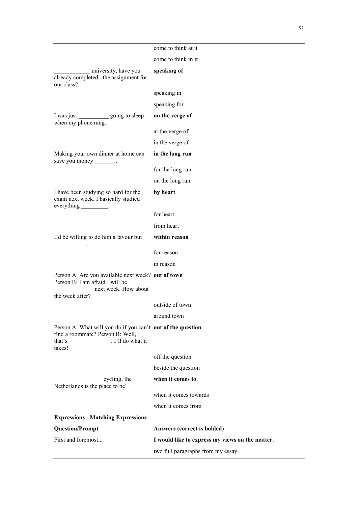|                                                                                                                     | come to think at it                             |
|---------------------------------------------------------------------------------------------------------------------|-------------------------------------------------|
|                                                                                                                     | come to think in it.                            |
| university, have you<br>already completed the assignment for<br>our class?                                          | speaking of                                     |
|                                                                                                                     | speaking in                                     |
|                                                                                                                     | speaking for                                    |
| I was just _____________ going to sleep<br>when my phone rang.                                                      | on the verge of                                 |
|                                                                                                                     | at the verge of                                 |
|                                                                                                                     | in the verge of                                 |
| Making your own dinner at home can<br>save you money ________.                                                      | in the long run                                 |
|                                                                                                                     | for the long run                                |
|                                                                                                                     | on the long run                                 |
| I have been studying so hard for the<br>exam next week. I basically studied<br>everything $\qquad \qquad$ .         | by heart                                        |
|                                                                                                                     | for heart                                       |
|                                                                                                                     | from heart                                      |
| I'd be willing to do him a favour but                                                                               | within reason                                   |
|                                                                                                                     | for reason                                      |
|                                                                                                                     | in reason                                       |
| Person A: Are you available next week? out of town<br>Person B: I am afraid I will be<br>next week. How about       |                                                 |
| the week after?                                                                                                     | outside of town                                 |
|                                                                                                                     |                                                 |
|                                                                                                                     | around town                                     |
| Person A: What will you do if you can't out of the question<br>find a roommate? Person B: Well,<br>that's<br>takes! |                                                 |
|                                                                                                                     | off the question                                |
|                                                                                                                     | beside the question                             |
| cycling, the<br>Netherlands is the place to be!                                                                     | when it comes to                                |
|                                                                                                                     | when it comes towards                           |
|                                                                                                                     | when it comes from                              |
| <b>Expressions - Matching Expressions</b>                                                                           |                                                 |
| <b>Question/Prompt</b>                                                                                              | Answers (correct is bolded)                     |
| First and foremost                                                                                                  | I would like to express my views on the matter. |
|                                                                                                                     | two full paragraphs from my essay.              |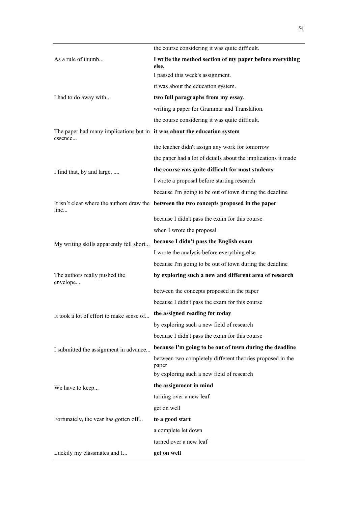|                                                                                     | the course considering it was quite difficult.                                                  |
|-------------------------------------------------------------------------------------|-------------------------------------------------------------------------------------------------|
| As a rule of thumb                                                                  | I write the method section of my paper before everything<br>else.                               |
|                                                                                     | I passed this week's assignment.                                                                |
|                                                                                     | it was about the education system.                                                              |
| I had to do away with                                                               | two full paragraphs from my essay.                                                              |
|                                                                                     | writing a paper for Grammar and Translation.                                                    |
|                                                                                     | the course considering it was quite difficult.                                                  |
| The paper had many implications but in it was about the education system<br>essence |                                                                                                 |
|                                                                                     | the teacher didn't assign any work for tomorrow                                                 |
|                                                                                     | the paper had a lot of details about the implications it made                                   |
| I find that, by and large,                                                          | the course was quite difficult for most students                                                |
|                                                                                     | I wrote a proposal before starting research                                                     |
|                                                                                     | because I'm going to be out of town during the deadline                                         |
| line                                                                                | It isn't clear where the authors draw the <b>between the two concepts proposed in the paper</b> |
|                                                                                     | because I didn't pass the exam for this course                                                  |
|                                                                                     | when I wrote the proposal                                                                       |
| My writing skills apparently fell short                                             | because I didn't pass the English exam                                                          |
|                                                                                     | I wrote the analysis before everything else                                                     |
|                                                                                     | because I'm going to be out of town during the deadline                                         |
| The authors really pushed the<br>envelope                                           | by exploring such a new and different area of research                                          |
|                                                                                     | between the concepts proposed in the paper                                                      |
|                                                                                     | because I didn't pass the exam for this course                                                  |
| It took a lot of effort to make sense of the assigned reading for today             |                                                                                                 |
|                                                                                     | by exploring such a new field of research                                                       |
|                                                                                     | because I didn't pass the exam for this course                                                  |
| I submitted the assignment in advance                                               | because I'm going to be out of town during the deadline                                         |
|                                                                                     | between two completely different theories proposed in the<br>paper                              |
|                                                                                     | by exploring such a new field of research                                                       |
| We have to keep                                                                     | the assignment in mind                                                                          |
|                                                                                     | turning over a new leaf                                                                         |
|                                                                                     | get on well                                                                                     |
| Fortunately, the year has gotten off                                                | to a good start                                                                                 |
|                                                                                     | a complete let down                                                                             |
|                                                                                     | turned over a new leaf                                                                          |
| Luckily my classmates and I                                                         | get on well                                                                                     |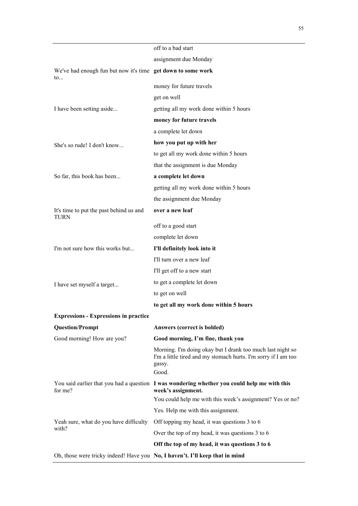|                                                                                 | off to a bad start                                                                                                                                                              |
|---------------------------------------------------------------------------------|---------------------------------------------------------------------------------------------------------------------------------------------------------------------------------|
|                                                                                 | assignment due Monday                                                                                                                                                           |
| We've had enough fun but now it's time get down to some work<br>$\mathfrak{to}$ |                                                                                                                                                                                 |
|                                                                                 | money for future travels                                                                                                                                                        |
|                                                                                 | get on well                                                                                                                                                                     |
| I have been setting aside                                                       | getting all my work done within 5 hours                                                                                                                                         |
|                                                                                 | money for future travels                                                                                                                                                        |
|                                                                                 | a complete let down                                                                                                                                                             |
| She's so rude! I don't know                                                     | how you put up with her                                                                                                                                                         |
|                                                                                 | to get all my work done within 5 hours                                                                                                                                          |
|                                                                                 | that the assignment is due Monday                                                                                                                                               |
| So far, this book has been                                                      | a complete let down                                                                                                                                                             |
|                                                                                 | getting all my work done within 5 hours                                                                                                                                         |
|                                                                                 | the assignment due Monday                                                                                                                                                       |
| It's time to put the past behind us and<br><b>TURN</b>                          | over a new leaf                                                                                                                                                                 |
|                                                                                 | off to a good start                                                                                                                                                             |
|                                                                                 | complete let down                                                                                                                                                               |
| I'm not sure how this works but                                                 | I'll definitely look into it                                                                                                                                                    |
|                                                                                 | I'll turn over a new leaf                                                                                                                                                       |
|                                                                                 | I'll get off to a new start                                                                                                                                                     |
| I have set myself a target                                                      | to get a complete let down                                                                                                                                                      |
|                                                                                 | to get on well                                                                                                                                                                  |
|                                                                                 | to get all my work done within 5 hours                                                                                                                                          |
| <b>Expressions - Expressions in practice</b>                                    |                                                                                                                                                                                 |
| <b>Question/Prompt</b>                                                          | Answers (correct is bolded)                                                                                                                                                     |
| Good morning! How are you?                                                      | Good morning, I'm fine, thank you                                                                                                                                               |
|                                                                                 | Morning. I'm doing okay but I drank too much last night so<br>I'm a little tired and my stomach hurts. I'm sorry if I am too<br>gassy.<br>Good.                                 |
| for me?                                                                         | You said earlier that you had a question I was wondering whether you could help me with this<br>week's assignment.<br>You could help me with this week's assignment? Yes or no? |
|                                                                                 | Yes. Help me with this assignment.                                                                                                                                              |
|                                                                                 |                                                                                                                                                                                 |
| Yeah sure, what do you have difficulty<br>with?                                 | Off topping my head, it was questions 3 to 6                                                                                                                                    |
|                                                                                 | Over the top of my head, it was questions 3 to 6                                                                                                                                |
|                                                                                 | Off the top of my head, it was questions 3 to 6                                                                                                                                 |
| Oh, those were tricky indeed! Have you No, I haven't. I'll keep that in mind    |                                                                                                                                                                                 |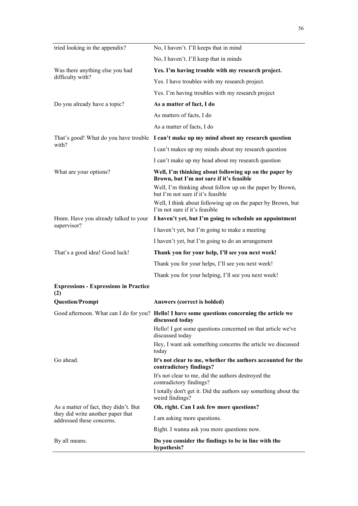| tried looking in the appendix?                                             | No, I haven't. I'll keeps that in mind                                                                           |
|----------------------------------------------------------------------------|------------------------------------------------------------------------------------------------------------------|
|                                                                            | No, I haven't. I'll keep that in minds                                                                           |
| Was there anything else you had<br>difficulty with?                        | Yes. I'm having trouble with my research project.                                                                |
|                                                                            | Yes. I have troubles with my research project.                                                                   |
|                                                                            | Yes. I'm having troubles with my research project                                                                |
| Do you already have a topic?                                               | As a matter of fact, I do                                                                                        |
|                                                                            | As matters of facts, I do                                                                                        |
|                                                                            | As a matter of facts, I do                                                                                       |
|                                                                            | That's good! What do you have trouble I can't make up my mind about my research question                         |
| with?                                                                      | I can't makes up my minds about my research question                                                             |
|                                                                            | I can't make up my head about my research question                                                               |
| What are your options?                                                     | Well, I'm thinking about following up on the paper by<br>Brown, but I'm not sure if it's feasible                |
|                                                                            | Well, I'm thinking about follow up on the paper by Brown,<br>but I'm not sure if it's feasible                   |
|                                                                            | Well, I think about following up on the paper by Brown, but<br>I'm not sure if it's feasible                     |
| Hmm. Have you already talked to your                                       | I haven't yet, but I'm going to schedule an appointment                                                          |
| supervisor?                                                                | I haven't yet, but I'm going to make a meeting                                                                   |
|                                                                            | I haven't yet, but I'm going to do an arrangement                                                                |
| That's a good idea! Good luck!                                             | Thank you for your help, I'll see you next week!                                                                 |
|                                                                            | Thank you for your helps, I'll see you next week!                                                                |
|                                                                            | Thank you for your helping, I'll see you next week!                                                              |
| <b>Expressions - Expressions in Practice</b><br>(2)                        |                                                                                                                  |
| <b>Question/Prompt</b>                                                     | Answers (correct is bolded)                                                                                      |
|                                                                            | Good afternoon. What can I do for you? Hello! I have some questions concerning the article we<br>discussed today |
|                                                                            | Hello! I got some questions concerned on that article we've<br>discussed today                                   |
|                                                                            | Hey, I want ask something concerns the article we discussed<br>today                                             |
| Go ahead.                                                                  | It's not clear to me, whether the authors accounted for the<br>contradictory findings?                           |
|                                                                            | It's not clear to me, did the authors destroyed the<br>contradictory findings?                                   |
|                                                                            | I totally don't get it. Did the authors say something about the<br>weird findings?                               |
| As a matter of fact, they didn't. But<br>they did write another paper that | Oh, right. Can I ask few more questions?                                                                         |
| addressed these concerns.                                                  | I am asking more questions.                                                                                      |
|                                                                            | Right. I wanna ask you more questions now.                                                                       |
| By all means.                                                              | Do you consider the findings to be in line with the<br>hypothesis?                                               |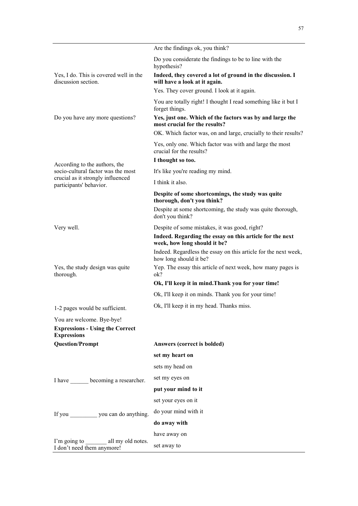|                                                               | Are the findings ok, you think?                                                            |  |
|---------------------------------------------------------------|--------------------------------------------------------------------------------------------|--|
|                                                               | Do you considerate the findings to be to line with the<br>hypothesis?                      |  |
| Yes, I do. This is covered well in the<br>discussion section. | Indeed, they covered a lot of ground in the discussion. I<br>will have a look at it again. |  |
|                                                               | Yes. They cover ground. I look at it again.                                                |  |
|                                                               | You are totally right! I thought I read something like it but I<br>forget things.          |  |
| Do you have any more questions?                               | Yes, just one. Which of the factors was by and large the<br>most crucial for the results?  |  |
|                                                               | OK. Which factor was, on and large, crucially to their results?                            |  |
|                                                               | Yes, only one. Which factor was with and large the most<br>crucial for the results?        |  |
| According to the authors, the                                 | I thought so too.                                                                          |  |
| socio-cultural factor was the most                            | It's like you're reading my mind.                                                          |  |
| crucial as it strongly influenced<br>participants' behavior.  | I think it also.                                                                           |  |
|                                                               | Despite of some shortcomings, the study was quite<br>thorough, don't you think?            |  |
|                                                               | Despite at some shortcoming, the study was quite thorough,<br>don't you think?             |  |
| Very well.                                                    | Despite of some mistakes, it was good, right?                                              |  |
|                                                               | Indeed. Regarding the essay on this article for the next<br>week, how long should it be?   |  |
|                                                               | Indeed. Regardless the essay on this article for the next week,<br>how long should it be?  |  |
| Yes, the study design was quite<br>thorough.                  | Yep. The essay this article of next week, how many pages is<br>ok?                         |  |
|                                                               | Ok, I'll keep it in mind. Thank you for your time!                                         |  |
|                                                               | Ok, I'll keep it on minds. Thank you for your time!                                        |  |
| 1-2 pages would be sufficient.                                | Ok, I'll keep it in my head. Thanks miss.                                                  |  |
| You are welcome. Bye-bye!                                     |                                                                                            |  |
| <b>Expressions - Using the Correct</b><br><b>Expressions</b>  |                                                                                            |  |
| <b>Question/Prompt</b>                                        | Answers (correct is bolded)                                                                |  |
|                                                               | set my heart on                                                                            |  |

| <b>Question/Prompt</b>                                       | Answers (correct is bolded) |  |
|--------------------------------------------------------------|-----------------------------|--|
|                                                              | set my heart on             |  |
| I have becoming a researcher.                                | sets my head on             |  |
|                                                              | set my eyes on              |  |
|                                                              | put your mind to it         |  |
| If you<br>you can do anything.                               | set your eyes on it         |  |
|                                                              | do your mind with it        |  |
|                                                              | do away with                |  |
|                                                              | have away on                |  |
| I'm going to all my old notes.<br>I don't need them anymore! | set away to                 |  |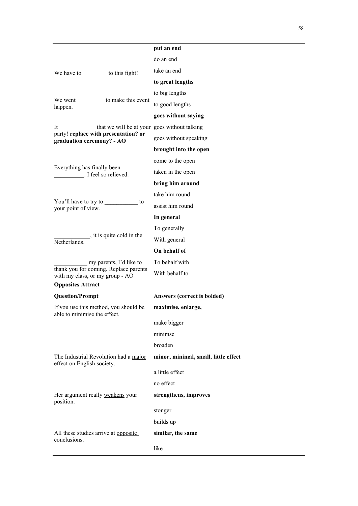|                                                                          | put an end                           |
|--------------------------------------------------------------------------|--------------------------------------|
|                                                                          | do an end                            |
| We have to ___________ to this fight!                                    | take an end                          |
|                                                                          | to great lengths                     |
|                                                                          | to big lengths                       |
| We went ___________ to make this event<br>happen.                        | to good lengths                      |
|                                                                          | goes without saying                  |
| It _______________ that we will be at your goes without talking          |                                      |
| party! replace with presentation? or<br>graduation ceremony? - AO        | goes without speaking                |
|                                                                          | brought into the open                |
|                                                                          | come to the open                     |
| Everything has finally been<br>. I feel so relieved.                     | taken in the open                    |
|                                                                          | bring him around                     |
|                                                                          | take him round                       |
| You'll have to try to _____________ to<br>your point of view.            | assist him round                     |
|                                                                          | In general                           |
|                                                                          | To generally                         |
| it is quite cold in the<br>Netherlands.                                  | With general                         |
|                                                                          | On behalf of                         |
| my parents, I'd like to                                                  | To behalf with                       |
| thank you for coming. Replace parents<br>with my class, or my group - AO | With behalf to                       |
| <b>Opposites Attract</b>                                                 |                                      |
| <b>Question/Prompt</b>                                                   | Answers (correct is bolded)          |
| If you use this method, you should be<br>able to minimise the effect.    | maximise, enlarge,                   |
|                                                                          | make bigger                          |
|                                                                          | minimse                              |
|                                                                          | broaden                              |
| The Industrial Revolution had a major<br>effect on English society.      | minor, minimal, small, little effect |
|                                                                          | a little effect                      |
|                                                                          | no effect                            |
| Her argument really weakens your<br>position.                            | strengthens, improves                |
|                                                                          | stonger                              |
|                                                                          | builds up                            |
| All these studies arrive at opposite<br>conclusions.                     | similar, the same                    |
|                                                                          | like                                 |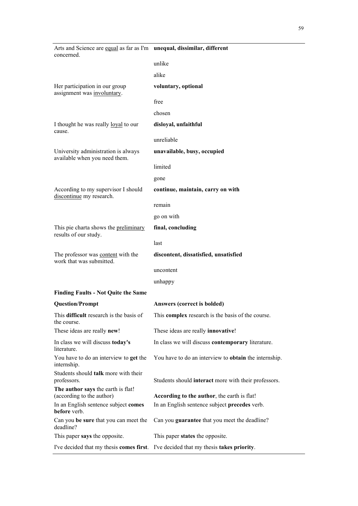| Arts and Science are equal as far as I'm unequal, dissimilar, different<br>concerned. |                                                       |
|---------------------------------------------------------------------------------------|-------------------------------------------------------|
|                                                                                       | unlike                                                |
|                                                                                       | alike                                                 |
| Her participation in our group<br>assignment was involuntary.                         | voluntary, optional                                   |
|                                                                                       | free                                                  |
|                                                                                       | chosen                                                |
| I thought he was really <u>loyal</u> to our<br>cause.                                 | disloyal, unfaithful                                  |
|                                                                                       | unreliable                                            |
| University administration is always<br>available when you need them.                  | unavailable, busy, occupied                           |
|                                                                                       | limited                                               |
|                                                                                       | gone                                                  |
| According to my supervisor I should<br>discontinue my research.                       | continue, maintain, carry on with                     |
|                                                                                       | remain                                                |
|                                                                                       | go on with                                            |
| This pie charta shows the preliminary<br>results of our study.                        | final, concluding                                     |
|                                                                                       | last                                                  |
| The professor was content with the<br>work that was submitted.                        | discontent, dissatisfied, unsatisfied                 |
|                                                                                       | uncontent                                             |
|                                                                                       | unhappy                                               |
| <b>Finding Faults - Not Quite the Same</b>                                            |                                                       |
| <b>Question/Prompt</b>                                                                | Answers (correct is bolded)                           |
| This difficult research is the basis of<br>the course.                                | This complex research is the basis of the course.     |
| These ideas are really new!                                                           | These ideas are really innovative!                    |
| In class we will discuss today's<br>literature.                                       | In class we will discuss contemporary literature.     |
| You have to do an interview to get the<br>internship.                                 | You have to do an interview to obtain the internship. |
| Students should talk more with their<br>professors.                                   | Students should interact more with their professors.  |
| The author says the earth is flat!<br>(according to the author)                       | According to the author, the earth is flat!           |
| In an English sentence subject comes<br>before verb.                                  | In an English sentence subject precedes verb.         |
| Can you be sure that you can meet the<br>deadline?                                    | Can you guarantee that you meet the deadline?         |
| This paper says the opposite.                                                         | This paper states the opposite.                       |
| I've decided that my thesis comes first.                                              | I've decided that my thesis takes priority.           |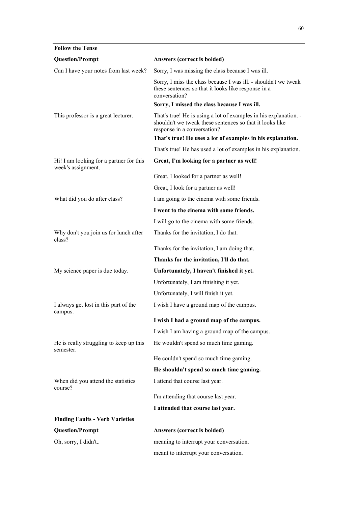| <b>Follow the Tense</b>                                       |                                                                                                                                                             |
|---------------------------------------------------------------|-------------------------------------------------------------------------------------------------------------------------------------------------------------|
| <b>Question/Prompt</b>                                        | Answers (correct is bolded)                                                                                                                                 |
| Can I have your notes from last week?                         | Sorry, I was missing the class because I was ill.                                                                                                           |
|                                                               | Sorry, I miss the class because I was ill. - shouldn't we tweak<br>these sentences so that it looks like response in a<br>conversation?                     |
|                                                               | Sorry, I missed the class because I was ill.                                                                                                                |
| This professor is a great lecturer.                           | That's true! He is using a lot of examples in his explanation. -<br>shouldn't we tweak these sentences so that it looks like<br>response in a conversation? |
|                                                               | That's true! He uses a lot of examples in his explanation.                                                                                                  |
|                                                               | That's true! He has used a lot of examples in his explanation.                                                                                              |
| Hi! I am looking for a partner for this<br>week's assignment. | Great, I'm looking for a partner as well!                                                                                                                   |
|                                                               | Great, I looked for a partner as well!                                                                                                                      |
|                                                               | Great, I look for a partner as well!                                                                                                                        |
| What did you do after class?                                  | I am going to the cinema with some friends.                                                                                                                 |
|                                                               | I went to the cinema with some friends.                                                                                                                     |
|                                                               | I will go to the cinema with some friends.                                                                                                                  |
| Why don't you join us for lunch after<br>class?               | Thanks for the invitation, I do that.                                                                                                                       |
|                                                               | Thanks for the invitation, I am doing that.                                                                                                                 |
|                                                               | Thanks for the invitation, I'll do that.                                                                                                                    |
| My science paper is due today.                                | Unfortunately, I haven't finished it yet.                                                                                                                   |
|                                                               | Unfortunately, I am finishing it yet.                                                                                                                       |
|                                                               | Unfortunately, I will finish it yet.                                                                                                                        |
| I always get lost in this part of the<br>campus.              | I wish I have a ground map of the campus.                                                                                                                   |
|                                                               | I wish I had a ground map of the campus.                                                                                                                    |
|                                                               | I wish I am having a ground map of the campus.                                                                                                              |
| He is really struggling to keep up this<br>semester.          | He wouldn't spend so much time gaming.                                                                                                                      |
|                                                               | He couldn't spend so much time gaming.                                                                                                                      |
|                                                               | He shouldn't spend so much time gaming.                                                                                                                     |
| When did you attend the statistics<br>course?                 | I attend that course last year.                                                                                                                             |
|                                                               | I'm attending that course last year.                                                                                                                        |
|                                                               | I attended that course last year.                                                                                                                           |
| <b>Finding Faults - Verb Varieties</b>                        |                                                                                                                                                             |
| <b>Question/Prompt</b>                                        | Answers (correct is bolded)                                                                                                                                 |
| Oh, sorry, I didn't                                           | meaning to interrupt your conversation.                                                                                                                     |
|                                                               | meant to interrupt your conversation.                                                                                                                       |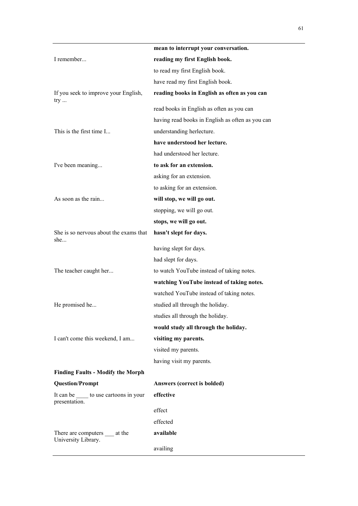|                                                            | mean to interrupt your conversation.             |
|------------------------------------------------------------|--------------------------------------------------|
| I remember                                                 | reading my first English book.                   |
|                                                            | to read my first English book.                   |
|                                                            | have read my first English book.                 |
| If you seek to improve your English,<br>$try \dots$        | reading books in English as often as you can     |
|                                                            | read books in English as often as you can        |
|                                                            | having read books in English as often as you can |
| This is the first time I                                   | understanding herlecture.                        |
|                                                            | have understood her lecture.                     |
|                                                            | had understood her lecture.                      |
| I've been meaning                                          | to ask for an extension.                         |
|                                                            | asking for an extension.                         |
|                                                            | to asking for an extension.                      |
| As soon as the rain                                        | will stop, we will go out.                       |
|                                                            | stopping, we will go out.                        |
|                                                            | stops, we will go out.                           |
| She is so nervous about the exams that<br>she              | hasn't slept for days.                           |
|                                                            | having slept for days.                           |
|                                                            | had slept for days.                              |
| The teacher caught her                                     | to watch YouTube instead of taking notes.        |
|                                                            | watching YouTube instead of taking notes.        |
|                                                            | watched YouTube instead of taking notes.         |
| He promised he                                             | studied all through the holiday.                 |
|                                                            | studies all through the holiday.                 |
|                                                            | would study all through the holiday.             |
| I can't come this weekend, I am                            | visiting my parents.                             |
|                                                            | visited my parents.                              |
|                                                            | having visit my parents.                         |
| <b>Finding Faults - Modify the Morph</b>                   |                                                  |
| <b>Question/Prompt</b>                                     | Answers (correct is bolded)                      |
| It can be _______ to use cartoons in your<br>presentation. | effective                                        |
|                                                            | effect                                           |
|                                                            | effected                                         |
| There are computers at the<br>University Library.          | available                                        |
|                                                            | availing                                         |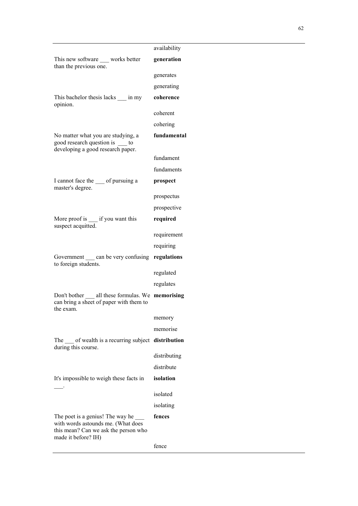|                                                                                                             | availability |
|-------------------------------------------------------------------------------------------------------------|--------------|
| This new software ____ works better<br>than the previous one.                                               | generation   |
|                                                                                                             | generates    |
|                                                                                                             | generating   |
| This bachelor thesis lacks __ in my<br>opinion.                                                             | coherence    |
|                                                                                                             | coherent     |
|                                                                                                             | cohering     |
| No matter what you are studying, a<br>good research question is ___ to<br>developing a good research paper. | fundamental  |
|                                                                                                             | fundament    |
|                                                                                                             | fundaments   |
| I cannot face the of pursuing a<br>master's degree.                                                         | prospect     |
|                                                                                                             | prospectus   |
|                                                                                                             | prospective  |
| More proof is $\equiv$ if you want this<br>suspect acquitted.                                               | required     |
|                                                                                                             | requirement  |
|                                                                                                             | requiring    |
| Government __ can be very confusing regulations<br>to foreign students.                                     |              |
|                                                                                                             | regulated    |
|                                                                                                             | regulates    |
| Don't bother all these formulas. We memorising<br>can bring a sheet of paper with them to<br>the exam.      |              |
|                                                                                                             | memory       |
|                                                                                                             | memorise     |
| The __ of wealth is a recurring subject distribution<br>during this course.                                 |              |
|                                                                                                             | distributing |
|                                                                                                             | distribute   |
| It's impossible to weigh these facts in                                                                     | isolation    |
|                                                                                                             | isolated     |
|                                                                                                             | isolating    |
| with words astounds me. (What does<br>this mean? Can we ask the person who<br>made it before? IH)           | fences       |
|                                                                                                             | fence        |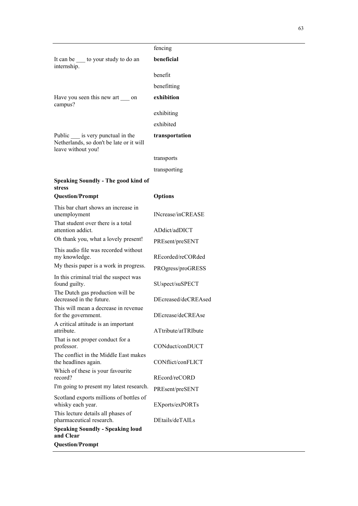| internship.                                                                                      |                                        |
|--------------------------------------------------------------------------------------------------|----------------------------------------|
|                                                                                                  | benefit                                |
|                                                                                                  | benefitting                            |
| Have you seen this new art ____ on<br>campus?                                                    | exhibition                             |
|                                                                                                  | exhibiting                             |
|                                                                                                  | exhibited                              |
| Public is very punctual in the<br>Netherlands, so don't be late or it will<br>leave without you! | transportation                         |
|                                                                                                  | transports                             |
|                                                                                                  | transporting                           |
| <b>Speaking Soundly - The good kind of</b><br>stress                                             |                                        |
| <b>Question/Prompt</b>                                                                           | <b>Options</b>                         |
| This bar chart shows an increase in<br>unemployment                                              | INcrease/inCREASE                      |
| That student over there is a total<br>attention addict.                                          | ADdict/adDICT                          |
| Oh thank you, what a lovely present!                                                             | PREsent/preSENT                        |
| This audio file was recorded without<br>my knowledge.<br>My thesis paper is a work in progress.  | REcorded/reCORded<br>PROgress/proGRESS |
| In this criminal trial the suspect was<br>found guilty.                                          | SUspect/suSPECT                        |
| The Dutch gas production will be<br>decreased in the future.                                     | DEcreased/deCREAsed                    |
| This will mean a decrease in revenue<br>for the government.                                      | DEcrease/deCREAse                      |
| A critical attitude is an important<br>attribute.                                                | ATtribute/atTRIbute                    |
| That is not proper conduct for a<br>professor.                                                   | CONduct/conDUCT                        |

It can be \_\_\_ to your study to do an

fencing

**beneficial**

The conflict in the Middle East makes the headlines again. CONflict/conFLICT Which of these is your favourite record? REcord/reCORD

I'm going to present my latest research. PREsent/preSENT

Scotland exports millions of bottles of whisky each year.

EXports/exPORTs

This lecture details all phases of pharmaceutical research. DEtails/deTAILs

**Speaking Soundly - Speaking loud and Clear Question/Prompt**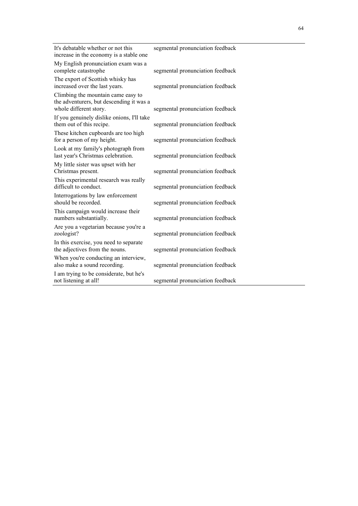| It's debatable whether or not this<br>increase in the economy is a stable one                            | segmental pronunciation feedback |
|----------------------------------------------------------------------------------------------------------|----------------------------------|
| My English pronunciation exam was a<br>complete catastrophe                                              | segmental pronunciation feedback |
| The export of Scottish whisky has<br>increased over the last years.                                      | segmental pronunciation feedback |
| Climbing the mountain came easy to<br>the adventurers, but descending it was a<br>whole different story. | segmental pronunciation feedback |
| If you genuinely dislike onions, I'll take<br>them out of this recipe.                                   | segmental pronunciation feedback |
| These kitchen cupboards are too high<br>for a person of my height.                                       | segmental pronunciation feedback |
| Look at my family's photograph from<br>last year's Christmas celebration.                                | segmental pronunciation feedback |
| My little sister was upset with her<br>Christmas present.                                                | segmental pronunciation feedback |
| This experimental research was really<br>difficult to conduct.                                           | segmental pronunciation feedback |
| Interrogations by law enforcement<br>should be recorded.                                                 | segmental pronunciation feedback |
| This campaign would increase their<br>numbers substantially.                                             | segmental pronunciation feedback |
| Are you a vegetarian because you're a<br>zoologist?                                                      | segmental pronunciation feedback |
| In this exercise, you need to separate<br>the adjectives from the nouns.                                 | segmental pronunciation feedback |
| When you're conducting an interview,<br>also make a sound recording.                                     | segmental pronunciation feedback |
| I am trying to be considerate, but he's<br>not listening at all!                                         | segmental pronunciation feedback |
|                                                                                                          |                                  |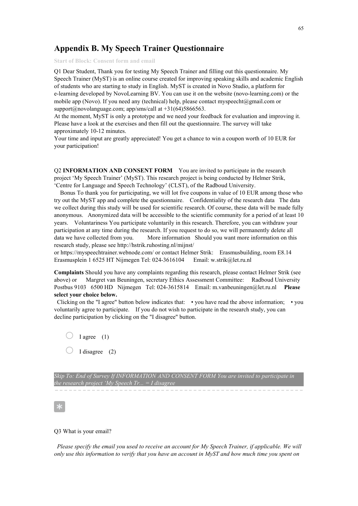# **Appendix B. My Speech Trainer Questionnaire**

**Start of Block: Consent form and email**

Q1 Dear Student, Thank you for testing My Speech Trainer and filling out this questionnaire. My Speech Trainer (MyST) is an online course created for improving speaking skills and academic English of students who are starting to study in English. MyST is created in Novo Studio, a platform for e-learning developed by NovoLearning BV. You can use it on the website (novo-learning.com) or the mobile app (Novo). If you need any (technical) help, please contact myspeecht@gmail.com or support@novolanguage.com; app/sms/call at  $+31(64)5866563$ .

At the moment, MyST is only a prototype and we need your feedback for evaluation and improving it. Please have a look at the exercises and then fill out the questionnaire. The survey will take approximately 10-12 minutes.

Your time and input are greatly appreciated! You get a chance to win a coupon worth of 10 EUR for your participation!

Q2 **INFORMATION AND CONSENT FORM** You are invited to participate in the research project 'My Speech Trainer' (MyST). This research project is being conducted by Helmer Strik, 'Centre for Language and Speech Technology' (CLST), of the Radboud University.

Bonus To thank you for participating, we will lot five coupons in value of 10 EUR among those who try out the MyST app and complete the questionnaire. Confidentiality of the research data The data we collect during this study will be used for scientific research. Of course, these data will be made fully anonymous. Anonymized data will be accessible to the scientific community for a period of at least 10 years. Voluntariness You participate voluntarily in this research. Therefore, you can withdraw your participation at any time during the research. If you request to do so, we will permanently delete all data we have collected from you. More information Should you want more information on this research study, please see http://hstrik.ruhosting.nl/mijnst/

or https://myspeechtrainer.webnode.com/ or contact Helmer Strik: Erasmusbuilding, room E8.14 Erasmusplein 1 6525 HT Nijmegen Tel: 024-3616104 Email: w.strik@let.ru.nl

**Complaints** Should you have any complaints regarding this research, please contact Helmer Strik (see above) or Margret van Beuningen, secretary Ethics Assessment Committee: Radboud University Postbus 9103 6500 HD Nijmegen Tel: 024-3615814 Email: m.vanbeuningen@let.ru.nl **Please select your choice below.**

Clicking on the "I agree" button below indicates that: • you have read the above information; • you voluntarily agree to participate. If you do not wish to participate in the research study, you can decline participation by clicking on the "I disagree" button.

I agree  $(1)$ 

I disagree (2)

*Skip To: End of Survey If INFORMATION AND CONSENT FORM You are invited to participate in the research project 'My Speech Tr... = I disagree*

Q3 What is your email?

Please specify the email you used to receive an account for My Speech Trainer, if applicable. We will only use this information to verify that you have an account in MyST and how much time you spent on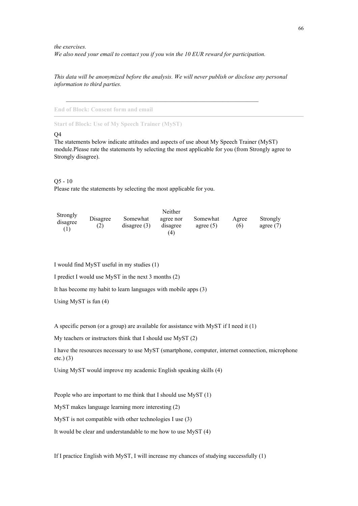*the exercises. We also need your email to contact you if you win the 10 EUR reward for participation.*

\_\_\_\_\_\_\_\_\_\_\_\_\_\_\_\_\_\_\_\_\_\_\_\_\_\_\_\_\_\_\_\_\_\_\_\_\_\_\_\_\_\_\_\_\_\_\_\_\_\_\_\_\_\_\_\_\_\_\_\_\_\_\_\_

*This data will be anonymized before the analysis. We will never publish or disclose any personal information to third parties.*

**End of Block: Consent form and email**

**Start of Block: Use of My Speech Trainer (MyST)**

### Q4

The statements below indicate attitudes and aspects of use about My Speech Trainer (MyST) module.Please rate the statements by selecting the most applicable for you (from Strongly agree to Strongly disagree).

Q5 - 10 Please rate the statements by selecting the most applicable for you.

|                                                          |                          | Neither                      |                         |              |                         |
|----------------------------------------------------------|--------------------------|------------------------------|-------------------------|--------------|-------------------------|
| Strongly<br>Disagree<br>disagree<br>$\mathbf{2)}$<br>(1) | Somewhat<br>disagree (3) | agree nor<br>disagree<br>(4) | Somewhat<br>agree $(5)$ | Agree<br>(6) | Strongly<br>agree $(7)$ |

I would find MyST useful in my studies (1)

I predict I would use MyST in the next 3 months (2)

It has become my habit to learn languages with mobile apps (3)

Using MyST is fun (4)

A specific person (or a group) are available for assistance with MyST if I need it (1)

My teachers or instructors think that I should use MyST (2)

I have the resources necessary to use MyST (smartphone, computer, internet connection, microphone etc.) (3)

Using MyST would improve my academic English speaking skills (4)

People who are important to me think that I should use MyST (1)

MyST makes language learning more interesting (2)

MyST is not compatible with other technologies I use (3)

It would be clear and understandable to me how to use MyST (4)

If I practice English with MyST, I will increase my chances of studying successfully (1)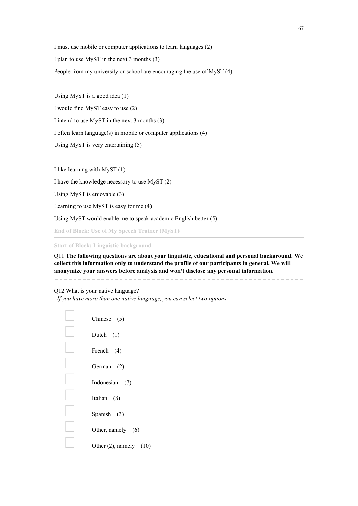I must use mobile or computer applications to learn languages (2)

I plan to use MyST in the next 3 months (3)

People from my university or school are encouraging the use of MyST (4)

Using MyST is a good idea (1)

I would find MyST easy to use (2)

I intend to use MyST in the next 3 months (3)

I often learn language(s) in mobile or computer applications (4)

Using MyST is very entertaining (5)

I like learning with MyST (1)

I have the knowledge necessary to use MyST (2)

Using MyST is enjoyable (3)

Learning to use MyST is easy for me (4)

Using MyST would enable me to speak academic English better (5)

**End of Block: Use of My Speech Trainer (MyST)**

**Start of Block: Linguistic background**

Q11 **The following questions are about your linguistic, educational and personal background. We collect this information only to understand the profile of our participants in general. We will anonymize your answers before analysis and won't disclose any personal information.**

Q12 What is your native language?

*If you have more than one native language, you can select two options.*

| Chinese (5)                 |
|-----------------------------|
| Dutch (1)                   |
| French (4)                  |
| German (2)                  |
| Indonesian (7)              |
| Italian (8)                 |
| Spanish (3)                 |
| Other, namely $(6)$         |
| Other $(2)$ , namely $(10)$ |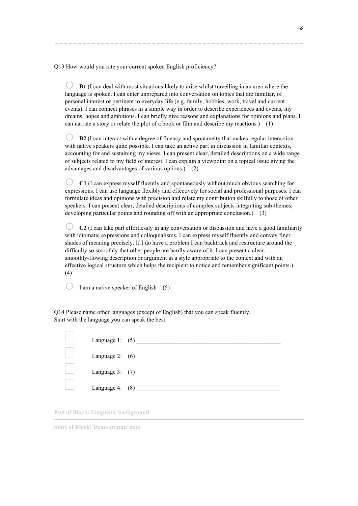Q13 How would you rate your current spoken English proficiency?

**B1** (I can deal with most situations likely to arise whilst travelling in an area where the language is spoken. I can enter unprepared into conversation on topics that are familiar, of personal interest or pertinent to everyday life (e.g. family, hobbies, work, travel and current events). I can connect phrases in a simple way in order to describe experiences and events, my dreams, hopes and ambitions. I can briefly give reasons and explanations for opinions and plans. I can narrate a story or relate the plot of a book or film and describe my reactions.) (1)

B2 (I can interact with a degree of fluency and spontaneity that makes regular interaction with native speakers quite possible. I can take an active part in discussion in familiar contexts, accounting for and sustaining my views. I can present clear, detailed descriptions on a wide range of subjects related to my field of interest. I can explain a viewpoint on a topical issue giving the advantages and disadvantages of various options.) (2)

o **C1** (I can express myself fluently and spontaneously without much obvious searching for expressions. I can use language flexibly and effectively for social and professional purposes. I can formulate ideas and opinions with precision and relate my contribution skilfully to those of other speakers. I can present clear, detailed descriptions of complex subjects integrating sub-themes, developing particular points and rounding off with an appropriate conclusion.) (3)

C<sub>2</sub> (I can take part effortlessly in any conversation or discussion and have a good familiarity with idiomatic expressions and colloquialisms. I can express myself fluently and convey finer shades of meaning precisely. If I do have a problem I can backtrack and restructure around the difficulty so smoothly that other people are hardly aware of it. I can present a clear, smoothly-flowing description or argument in a style appropriate to the context and with an effective logical structure which helps the recipient to notice and remember significant points.) (4)

I am a native speaker of English  $(5)$ 

Q14 Please name other languages (except of English) that you can speak fluently. Start with the language you can speak the best.

| Language 4: $(8)$ |  |
|-------------------|--|

**End of Block: Linguistic background**

**Start of Block: Demographic data**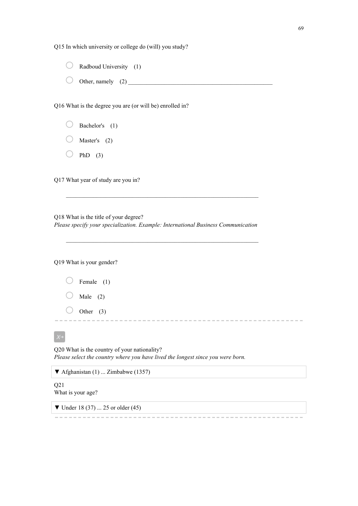Q15 In which university or college do (will) you study?

|  | Radboud University (1) |  |
|--|------------------------|--|
|--|------------------------|--|

o Other, namely (2) \_\_\_\_\_\_\_\_\_\_\_\_\_\_\_\_\_\_\_\_\_\_\_\_\_\_\_\_\_\_\_\_\_\_\_\_\_\_\_\_\_\_\_\_\_\_\_\_

Q16 What is the degree you are (or will be) enrolled in?

Bachelor's (1) Master's  $(2)$ 

PhD  $(3)$ 

Q17 What year of study are you in?

Q18 What is the title of your degree? *Please specify your specialization. Example: International Business Communication*

\_\_\_\_\_\_\_\_\_\_\_\_\_\_\_\_\_\_\_\_\_\_\_\_\_\_\_\_\_\_\_\_\_\_\_\_\_\_\_\_\_\_\_\_\_\_\_\_\_\_\_\_\_\_\_\_\_\_\_\_\_\_\_\_

 $\_$  , and the set of the set of the set of the set of the set of the set of the set of the set of the set of the set of the set of the set of the set of the set of the set of the set of the set of the set of the set of th

Q19 What is your gender?

| $\bigcirc$ Female (1) |  |  |  |  |  |  |  |
|-----------------------|--|--|--|--|--|--|--|
| $\bigcirc$ Male (2)   |  |  |  |  |  |  |  |
| O Other $(3)$         |  |  |  |  |  |  |  |

Q20 What is the country of your nationality? *Please select the country where you have lived the longest since you were born.*

 $\blacktriangledown$  Afghanistan (1) ... Zimbabwe (1357)

Q21 What is your age?

 $\blacktriangledown$  Under 18 (37) ... 25 or older (45)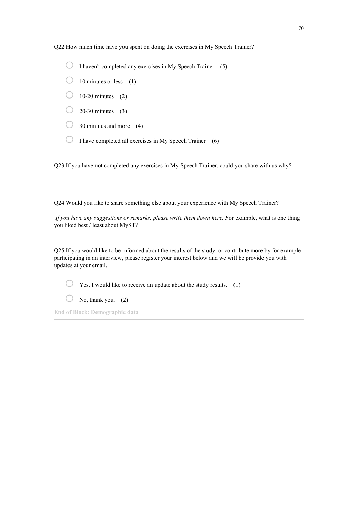Q22 How much time have you spent on doing the exercises in My Speech Trainer?

 $\bigcirc$  I haven't completed any exercises in My Speech Trainer (5)

 $\bigcirc$  10 minutes or less (1)

 $10-20$  minutes  $(2)$ 

 $20-30$  minutes  $(3)$ 

 $30$  minutes and more  $(4)$ 

I have completed all exercises in My Speech Trainer (6)

Q23 If you have not completed any exercises in My Speech Trainer, could you share with us why?

Q24 Would you like to share something else about your experience with My Speech Trainer?

\_\_\_\_\_\_\_\_\_\_\_\_\_\_\_\_\_\_\_\_\_\_\_\_\_\_\_\_\_\_\_\_\_\_\_\_\_\_\_\_\_\_\_\_\_\_\_\_\_\_\_\_\_\_\_\_\_\_\_\_\_\_\_\_

 $\_$  ,  $\_$  ,  $\_$  ,  $\_$  ,  $\_$  ,  $\_$  ,  $\_$  ,  $\_$  ,  $\_$  ,  $\_$  ,  $\_$  ,  $\_$  ,  $\_$  ,  $\_$  ,  $\_$  ,  $\_$  ,  $\_$  ,  $\_$  ,  $\_$ 

*If you have any suggestions or remarks, please write them down here. F*or example, what is one thing you liked best / least about MyST?

Q25 If you would like to be informed about the results of the study, or contribute more by for example participating in an interview, please register your interest below and we will be provide you with updates at your email.

 $\bigcirc$  Yes, I would like to receive an update about the study results. (1)

No, thank you.  $(2)$ 

**End of Block: Demographic data**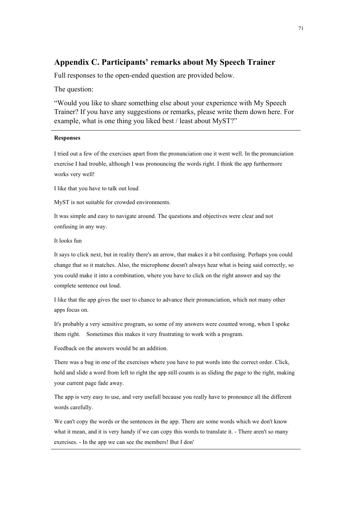# **Appendix C. Participants' remarks about My Speech Trainer**

Full responses to the open-ended question are provided below.

The question:

"Would you like to share something else about your experience with My Speech Trainer? If you have any suggestions or remarks, please write them down here. For example, what is one thing you liked best / least about MyST?"

## **Responses**

I tried out a few of the exercises apart from the pronunciation one it went well. In the pronunciation exercise I had trouble, although I was pronouncing the words right. I think the app furthermore works very well!

I like that you have to talk out loud

MyST is not suitable for crowded environments.

It was simple and easy to navigate around. The questions and objectives were clear and not confusing in any way.

It looks fun

It says to click next, but in reality there's an arrow, that makes it a bit confusing. Perhaps you could change that so it matches. Also, the microphone doesn't always hear what is being said correctly, so you could make it into a combination, where you have to click on the right answer and say the complete sentence out loud.

I like that the app gives the user to chance to advance their pronunciation, which not many other apps focus on.

It's probably a very sensitive program, so some of my answers were counted wrong, when I spoke them right. Sometimes this makes it very frustrating to work with a program.

Feedback on the answers would be an addition.

There was a bug in one of the exercises where you have to put words into the correct order. Click, hold and slide a word from left to right the app still counts is as sliding the page to the right, making your current page fade away.

The app is very easy to use, and very usefull because you really have to pronounce all the different words carefully.

We can't copy the words or the sentences in the app. There are some words which we don't know what it mean, and it is very handy if we can copy this words to translate it. - There aren't so many exercises. - In the app we can see the members! But I don'